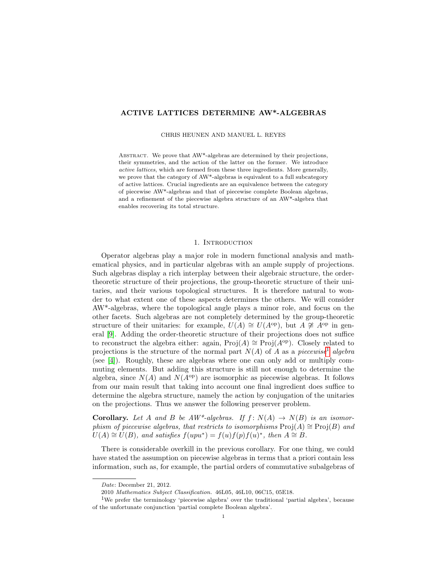## ACTIVE LATTICES DETERMINE AW\*-ALGEBRAS

CHRIS HEUNEN AND MANUEL L. REYES

ABSTRACT. We prove that AW\*-algebras are determined by their projections, their symmetries, and the action of the latter on the former. We introduce active lattices, which are formed from these three ingredients. More generally, we prove that the category of AW\*-algebras is equivalent to a full subcategory of active lattices. Crucial ingredients are an equivalence between the category of piecewise AW\*-algebras and that of piecewise complete Boolean algebras, and a refinement of the piecewise algebra structure of an AW\*-algebra that enables recovering its total structure.

### 1. Introduction

Operator algebras play a major role in modern functional analysis and mathematical physics, and in particular algebras with an ample supply of projections. Such algebras display a rich interplay between their algebraic structure, the ordertheoretic structure of their projections, the group-theoretic structure of their unitaries, and their various topological structures. It is therefore natural to wonder to what extent one of these aspects determines the others. We will consider AW\*-algebras, where the topological angle plays a minor role, and focus on the other facets. Such algebras are not completely determined by the group-theoretic structure of their unitaries: for example,  $U(A) \cong U(A^{op})$ , but  $A \not\cong A^{op}$  in general [\[9\]](#page-23-0). Adding the order-theoretic structure of their projections does not suffice to reconstruct the algebra either: again, Proj $(A) \cong \text{Proj}(A^{\text{op}})$ . Closely related to projections is the structure of the normal part  $N(A)$  of A as a piecewise<sup>[1](#page-0-0)</sup> algebra (see [\[4\]](#page-23-1)). Roughly, these are algebras where one can only add or multiply commuting elements. But adding this structure is still not enough to determine the algebra, since  $N(A)$  and  $N(A^{\text{op}})$  are isomorphic as piecewise algebras. It follows from our main result that taking into account one final ingredient does suffice to determine the algebra structure, namely the action by conjugation of the unitaries on the projections. Thus we answer the following preserver problem.

**Corollary.** Let A and B be  $AW^*$ -algebras. If  $f: N(A) \rightarrow N(B)$  is an isomorphism of piecewise algebras, that restricts to isomorphisms  $\text{Proj}(A) \cong \text{Proj}(B)$  and  $U(A) \cong U(B)$ , and satisfies  $f(upu^*) = f(u)f(p)f(u)^*$ , then  $A \cong B$ .

There is considerable overkill in the previous corollary. For one thing, we could have stated the assumption on piecewise algebras in terms that a priori contain less information, such as, for example, the partial orders of commutative subalgebras of

Date: December 21, 2012.

<span id="page-0-0"></span><sup>2010</sup> Mathematics Subject Classification. 46L05, 46L10, 06C15, 05E18.

<sup>1</sup>We prefer the terminology 'piecewise algebra' over the traditional 'partial algebra', because of the unfortunate conjunction 'partial complete Boolean algebra'.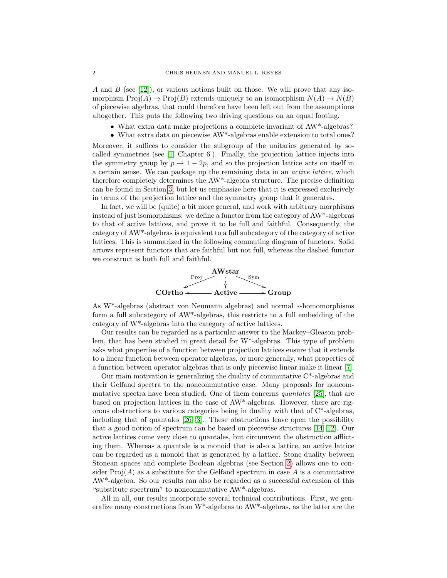A and B (see [\[12\]](#page-23-2)), or various notions built on those. We will prove that any isomorphism  $\text{Proj}(A) \to \text{Proj}(B)$  extends uniquely to an isomorphism  $N(A) \to N(B)$ of piecewise algebras, that could therefore have been left out from the assumptions altogether. This puts the following two driving questions on an equal footing.

- What extra data make projections a complete invariant of AW\*-algebras?
- What extra data on piecewise AW\*-algebras enable extension to total ones?

Moreover, it suffices to consider the subgroup of the unitaries generated by socalled symmetries (see [\[1,](#page-23-3) Chapter 6]). Finally, the projection lattice injects into the symmetry group by  $p \mapsto 1 - 2p$ , and so the projection lattice acts on itself in a certain sense. We can package up the remaining data in an active lattice, which therefore completely determines the AW\*-algebra structure. The precise definition can be found in Section [3,](#page-9-0) but let us emphasize here that it is expressed exclusively in terms of the projection lattice and the symmetry group that it generates.

In fact, we will be (quite) a bit more general, and work with arbitrary morphisms instead of just isomorphisms: we define a functor from the category of AW\*-algebras to that of active lattices, and prove it to be full and faithful. Consequently, the category of AW\*-algebras is equivalent to a full subcategory of the category of active lattices. This is summarized in the following commuting diagram of functors. Solid arrows represent functors that are faithful but not full, whereas the dashed functor we construct is both full and faithful.



As W\*-algebras (abstract von Neumann algebras) and normal ∗-homomorphisms form a full subcategory of AW\*-algebras, this restricts to a full embedding of the category of W\*-algebras into the category of active lattices.

Our results can be regarded as a particular answer to the Mackey–Gleason problem, that has been studied in great detail for W\*-algebras. This type of problem asks what properties of a function between projection lattices ensure that it extends to a linear function between operator algebras, or more generally, what properties of a function between operator algebras that is only piecewise linear make it linear [\[7\]](#page-23-4).

Our main motivation is generalizing the duality of commutative C\*-algebras and their Gelfand spectra to the noncommutative case. Many proposals for noncommutative spectra have been studied. One of them concerns quantales [\[25\]](#page-24-0), that are based on projection lattices in the case of AW\*-algebras. However, there are rigorous obstructions to various categories being in duality with that of C\*-algebras, including that of quantales [\[26,](#page-24-1) [3\]](#page-23-5). These obstructions leave open the possibility that a good notion of spectrum can be based on piecewise structures [\[14,](#page-23-6) [12\]](#page-23-2). Our active lattices come very close to quantales, but circumvent the obstruction afflicting them. Whereas a quantale is a monoid that is also a lattice, an active lattice can be regarded as a monoid that is generated by a lattice. Stone duality between Stonean spaces and complete Boolean algebras (see Section [2\)](#page-2-0) allows one to consider  $\text{Proj}(A)$  as a substitute for the Gelfand spectrum in case A is a commutative AW\*-algebra. So our results can also be regarded as a successful extension of this "substitute spectrum" to noncommutative AW\*-algebras.

All in all, our results incorporate several technical contributions. First, we generalize many constructions from W\*-algebras to AW\*-algebras, as the latter are the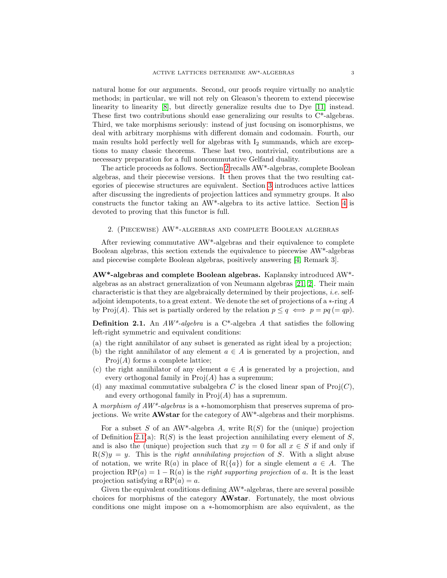natural home for our arguments. Second, our proofs require virtually no analytic methods; in particular, we will not rely on Gleason's theorem to extend piecewise linearity to linearity [\[8\]](#page-23-7), but directly generalize results due to Dye [\[11\]](#page-23-8) instead. These first two contributions should ease generalizing our results to C\*-algebras. Third, we take morphisms seriously: instead of just focusing on isomorphisms, we deal with arbitrary morphisms with different domain and codomain. Fourth, our main results hold perfectly well for algebras with  $I_2$  summands, which are exceptions to many classic theorems. These last two, nontrivial, contributions are a necessary preparation for a full noncommutative Gelfand duality.

The article proceeds as follows. Section [2](#page-2-0) recalls AW\*-algebras, complete Boolean algebras, and their piecewise versions. It then proves that the two resulting categories of piecewise structures are equivalent. Section [3](#page-9-0) introduces active lattices after discussing the ingredients of projection lattices and symmetry groups. It also constructs the functor taking an AW\*-algebra to its active lattice. Section [4](#page-16-0) is devoted to proving that this functor is full.

### <span id="page-2-0"></span>2. (Piecewise) AW\*-algebras and complete Boolean algebras

After reviewing commutative  $AW^*$ -algebras and their equivalence to complete Boolean algebras, this section extends the equivalence to piecewise AW\*-algebras and piecewise complete Boolean algebras, positively answering [\[4,](#page-23-1) Remark 3].

AW\*-algebras and complete Boolean algebras. Kaplansky introduced AW\* algebras as an abstract generalization of von Neumann algebras [\[21,](#page-23-9) [2\]](#page-23-10). Their main characteristic is that they are algebraically determined by their projections, i.e. selfadjoint idempotents, to a great extent. We denote the set of projections of a ∗-ring A by Proj(A). This set is partially ordered by the relation  $p \leq q \iff p = pq = qp$ ).

<span id="page-2-1"></span>**Definition 2.1.** An  $AW^*$ -algebra is a C<sup>\*</sup>-algebra A that satisfies the following left-right symmetric and equivalent conditions:

- (a) the right annihilator of any subset is generated as right ideal by a projection;
- (b) the right annihilator of any element  $a \in A$  is generated by a projection, and  $Proj(A)$  forms a complete lattice;
- (c) the right annihilator of any element  $a \in A$  is generated by a projection, and every orthogonal family in  $\text{Proj}(A)$  has a supremum;
- (d) any maximal commutative subalgebra C is the closed linear span of  $\text{Proj}(C)$ , and every orthogonal family in  $\text{Proj}(A)$  has a supremum.

A morphism of AW\*-algebras is a ∗-homomorphism that preserves suprema of projections. We write AWstar for the category of AW\*-algebras and their morphisms.

For a subset S of an AW<sup>\*</sup>-algebra A, write  $R(S)$  for the (unique) projection of Definition [2.1\(](#page-2-1)a):  $R(S)$  is the least projection annihilating every element of S, and is also the (unique) projection such that  $xy = 0$  for all  $x \in S$  if and only if  $R(S)y = y$ . This is the *right annihilating projection* of S. With a slight abuse of notation, we write R(a) in place of R( $\{a\}$ ) for a single element  $a \in A$ . The projection RP(a) =  $1 - R(a)$  is the right supporting projection of a. It is the least projection satisfying  $a \text{RP}(a) = a$ .

Given the equivalent conditions defining AW\*-algebras, there are several possible choices for morphisms of the category AWstar. Fortunately, the most obvious conditions one might impose on a ∗-homomorphism are also equivalent, as the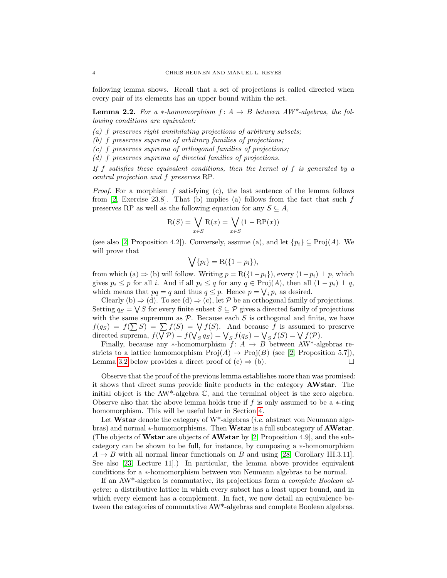following lemma shows. Recall that a set of projections is called directed when every pair of its elements has an upper bound within the set.

<span id="page-3-0"></span>**Lemma 2.2.** For a \*-homomorphism  $f: A \rightarrow B$  between  $AW^*$ -algebras, the following conditions are equivalent:

- $(a)$  f preserves right annihilating projections of arbitrary subsets;
- (b) f preserves suprema of arbitrary families of projections;
- (c) f preserves suprema of orthogonal families of projections;
- (d) f preserves suprema of directed families of projections.

If f satisfies these equivalent conditions, then the kernel of f is generated by a central projection and f preserves RP.

*Proof.* For a morphism f satisfying (c), the last sentence of the lemma follows from  $[2, \text{ Exercise 23.8}]$  $[2, \text{ Exercise 23.8}]$ . That (b) implies (a) follows from the fact that such f preserves RP as well as the following equation for any  $S \subseteq A$ ,

$$
R(S) = \bigvee_{x \in S} R(x) = \bigvee_{x \in S} (1 - RP(x))
$$

(see also [\[2,](#page-23-10) Proposition 4.2]). Conversely, assume (a), and let  $\{p_i\} \subseteq \text{Proj}(A)$ . We will prove that

$$
\bigvee \{p_i\} = \mathcal{R}(\{1 - p_i\}),
$$

from which (a)  $\Rightarrow$  (b) will follow. Writing  $p = R({1-p_i})$ , every  $(1-p_i) \perp p$ , which gives  $p_i \leq p$  for all i. And if all  $p_i \leq q$  for any  $q \in \text{Proj}(A)$ , then all  $(1 - p_i) \perp q$ , which means that  $pq = q$  and thus  $q \leq p$ . Hence  $p = \bigvee_i p_i$  as desired.

Clearly (b)  $\Rightarrow$  (d). To see (d)  $\Rightarrow$  (c), let P be an orthogonal family of projections. Setting  $q_S = \bigvee S$  for every finite subset  $S \subseteq \mathcal{P}$  gives a directed family of projections with the same supremum as  $P$ . Because each S is orthogonal and finite, we have  $f(q_S) = f(\sum S) = \sum f(S) = \bigvee f(S)$ . And because f is assumed to preserve directed suprema,  $f(\nabla \mathcal{P}) = f(\nabla_S q_S) = \nabla_S f(q_S) = \nabla_S f(S) = \nabla f(\mathcal{P})$ .

Finally, because any ∗-homomorphism  $f: A \rightarrow B$  between AW<sup>\*</sup>-algebras restricts to a lattice homomorphism  $\text{Proj}(A) \to \text{Proj}(B)$  (see [\[2,](#page-23-10) Proposition 5.7]), Lemma [3.2](#page-9-1) below provides a direct proof of  $(c) \Rightarrow (b)$ .

Observe that the proof of the previous lemma establishes more than was promised: it shows that direct sums provide finite products in the category AWstar. The initial object is the AW\*-algebra C, and the terminal object is the zero algebra. Observe also that the above lemma holds true if f is only assumed to be a  $*$ -ring homomorphism. This will be useful later in Section [4.](#page-16-0)

Let Wstar denote the category of  $W^*$ -algebras *(i.e.* abstract von Neumann algebras) and normal \*-homomorphisms. Then Wstar is a full subcategory of **AWstar**. (The objects of Wstar are objects of AWstar by [\[2,](#page-23-10) Proposition 4.9], and the subcategory can be shown to be full, for instance, by composing a ∗-homomorphism  $A \rightarrow B$  with all normal linear functionals on B and using [\[28,](#page-24-2) Corollary III.3.11]. See also [\[23,](#page-24-3) Lecture 11].) In particular, the lemma above provides equivalent conditions for a ∗-homomorphism between von Neumann algebras to be normal.

If an AW\*-algebra is commutative, its projections form a complete Boolean algebra: a distributive lattice in which every subset has a least upper bound, and in which every element has a complement. In fact, we now detail an equivalence between the categories of commutative AW\*-algebras and complete Boolean algebras.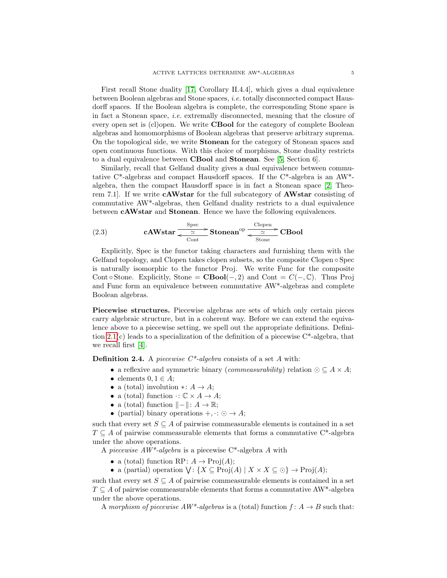First recall Stone duality [\[17,](#page-23-11) Corollary II.4.4], which gives a dual equivalence between Boolean algebras and Stone spaces, i.e. totally disconnected compact Hausdorff spaces. If the Boolean algebra is complete, the corresponding Stone space is in fact a Stonean space, i.e. extremally disconnected, meaning that the closure of every open set is (cl)open. We write CBool for the category of complete Boolean algebras and homomorphisms of Boolean algebras that preserve arbitrary suprema. On the topological side, we write Stonean for the category of Stonean spaces and open continuous functions. With this choice of morphisms, Stone duality restricts to a dual equivalence between CBool and Stonean. See [\[5,](#page-23-12) Section 6].

Similarly, recall that Gelfand duality gives a dual equivalence between commutative C\*-algebras and compact Hausdorff spaces. If the C\*-algebra is an AW\* algebra, then the compact Hausdorff space is in fact a Stonean space [\[2,](#page-23-10) Theorem 7.1]. If we write cAWstar for the full subcategory of AWstar consisting of commutative AW\*-algebras, then Gelfand duality restricts to a dual equivalence between cAWstar and Stonean. Hence we have the following equivalences.

<span id="page-4-1"></span>(2.3) **cAWstar** 
$$
\xrightarrow{\text{Spec} \atop \text{Cont}}
$$
 **Stonean<sup>op</sup>  $\xrightarrow{\text{Clopen} \atop \text{Stone}}$  CBool**

Explicitly, Spec is the functor taking characters and furnishing them with the Gelfand topology, and Clopen takes clopen subsets, so the composite Clopen ∘ Spec is naturally isomorphic to the functor Proj. We write Func for the composite Cont ∘ Stone. Explicitly, Stone =  $\mathbf{CBool}(-, 2)$  and Cont =  $C(-, \mathbb{C})$ . Thus Proj and Func form an equivalence between commutative AW\*-algebras and complete Boolean algebras.

Piecewise structures. Piecewise algebras are sets of which only certain pieces carry algebraic structure, but in a coherent way. Before we can extend the equivalence above to a piecewise setting, we spell out the appropriate definitions. Definition [2.1\(](#page-2-1)c) leads to a specialization of the definition of a piecewise C\*-algebra, that we recall first [\[4\]](#page-23-1).

<span id="page-4-0"></span>**Definition 2.4.** A piecewise  $C^*$ -algebra consists of a set A with:

- a reflexive and symmetric binary (*commeasurability*) relation  $\odot \subseteq A \times A$ ;
- elements  $0, 1 \in A$ ;
- a (total) involution  $\ast: A \to A$ ;
- a (total) function  $\cdot: \mathbb{C} \times A \rightarrow A$ ;
- a (total) function  $\|- \| : A \to \mathbb{R};$
- (partial) binary operations  $+,\cdot: \odot \rightarrow A;$

such that every set  $S \subseteq A$  of pairwise commeasurable elements is contained in a set  $T \subseteq A$  of pairwise commeasurable elements that forms a commutative C<sup>\*</sup>-algebra under the above operations.

A piecewise  $AW^*$ -algebra is a piecewise C<sup>\*</sup>-algebra A with

- a (total) function RP:  $A \to \text{Proj}(A)$ ;
- a (partial) operation  $\bigvee: \{X \subseteq \text{Proj}(A) \mid X \times X \subseteq \odot\} \to \text{Proj}(A);$

such that every set  $S \subseteq A$  of pairwise commeasurable elements is contained in a set  $T \subseteq A$  of pairwise commeasurable elements that forms a commutative AW<sup>\*</sup>-algebra under the above operations.

A morphism of piecewise  $AW^*$ -algebras is a (total) function  $f: A \rightarrow B$  such that: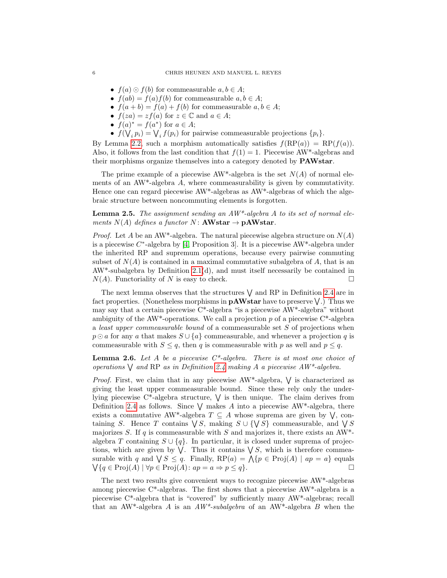- $f(a) \odot f(b)$  for commeasurable  $a, b \in A$ ;
- $f(ab) = f(a)f(b)$  for commeasurable  $a, b \in A$ ;
- $f(a + b) = f(a) + f(b)$  for commeasurable  $a, b \in A$ ;
- $f(za) = z f(a)$  for  $z \in \mathbb{C}$  and  $a \in A$ ;
- $f(a)^* = f(a^*)$  for  $a \in A$ ;
- $f(\bigvee_i p_i) = \bigvee_i f(p_i)$  for pairwise commeasurable projections  $\{p_i\}$ .

By Lemma [2.2,](#page-3-0) such a morphism automatically satisfies  $f(RP(a)) = RP(f(a))$ . Also, it follows from the last condition that  $f(1) = 1$ . Piecewise AW<sup>\*</sup>-algebras and their morphisms organize themselves into a category denoted by PAWstar.

The prime example of a piecewise AW<sup>\*</sup>-algebra is the set  $N(A)$  of normal elements of an AW\*-algebra A, where commeasurability is given by commutativity. Hence one can regard piecewise AW\*-algebras as AW\*-algebras of which the algebraic structure between noncommuting elements is forgotten.

## **Lemma 2.5.** The assignment sending an  $AW^*$ -algebra A to its set of normal elements  $N(A)$  defines a functor  $N:$  **AWstar**  $\rightarrow$  **pAWstar**.

*Proof.* Let A be an AW<sup>\*</sup>-algebra. The natural piecewise algebra structure on  $N(A)$ is a piecewise  $C^*$ -algebra by [\[4,](#page-23-1) Proposition 3]. It is a piecewise AW<sup>\*</sup>-algebra under the inherited RP and supremum operations, because every pairwise commuting subset of  $N(A)$  is contained in a maximal commutative subalgebra of A, that is an  $AW^*$ -subalgebra by Definition [2.1\(](#page-2-1)d), and must itself necessarily be contained in  $N(A)$ . Functoriality of N is easy to check.

The next lemma observes that the structures  $\vee$  and RP in Definition [2.4](#page-4-0) are in fact properties. (Nonetheless morphisms in **pAWstar** have to preserve  $\vee$ .) Thus we may say that a certain piecewise C\*-algebra "is a piecewise AW\*-algebra" without ambiguity of the AW<sup>\*</sup>-operations. We call a projection  $p$  of a piecewise C<sup>\*</sup>-algebra a least upper commeasurable bound of a commeasurable set S of projections when  $p \odot a$  for any a that makes  $S \cup \{a\}$  commeasurable, and whenever a projection q is commeasurable with  $S \leq q$ , then q is commeasurable with p as well and  $p \leq q$ .

**Lemma 2.6.** Let A be a piecewise  $C^*$ -algebra. There is at most one choice of operations  $\bigvee$  and RP as in Definition [2.4](#page-4-0) making A a piecewise AW\*-algebra.

*Proof.* First, we claim that in any piecewise  $AW^*$ -algebra,  $\vee$  is characterized as giving the least upper commeasurable bound. Since these rely only the underlying piecewise  $C^*$ -algebra structure,  $\vee$  is then unique. The claim derives from Definition [2.4](#page-4-0) as follows. Since  $\vee$  makes A into a piecewise AW<sup>\*</sup>-algebra, there exists a commutative AW<sup>\*</sup>-algebra  $T \subseteq A$  whose suprema are given by  $\bigvee$ , containing S. Hence T contains  $\bigvee S$ , making  $S \cup {\{\bigvee S\}}$  commeasurable, and  $\bigvee S$ majorizes S. If q is commeasurable with S and majorizes it, there exists an AW\*algebra T containing  $S \cup \{q\}$ . In particular, it is closed under suprema of projections, which are given by  $\bigvee$ . Thus it contains  $\bigvee S$ , which is therefore commeasurable with q and  $\bigvee S \leq q$ . Finally,  $RP(a) = \bigwedge \{p \in \text{Proj}(A) \mid ap = a\}$  equals  $\bigvee\{q \in \text{Proj}(A) \mid \forall p \in \text{Proj}(A): ap = a \Rightarrow p \leq q\}.$ 

The next two results give convenient ways to recognize piecewise AW\*-algebras among piecewise  $C^*$ -algebras. The first shows that a piecewise  $AW^*$ -algebra is a piecewise C\*-algebra that is "covered" by sufficiently many AW\*-algebras; recall that an AW<sup>\*</sup>-algebra A is an  $AW^*$ -subalgebra of an AW<sup>\*</sup>-algebra B when the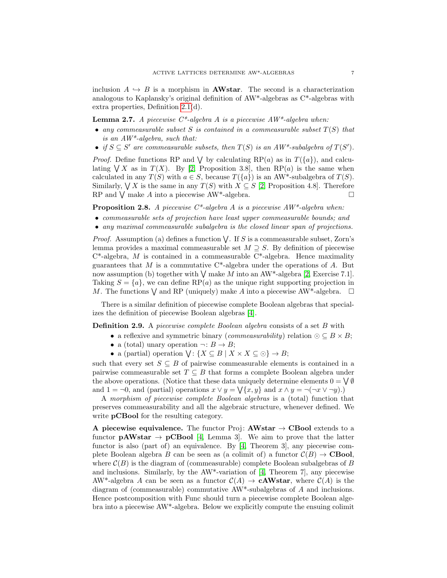inclusion  $A \hookrightarrow B$  is a morphism in **AWstar**. The second is a characterization analogous to Kaplansky's original definition of AW\*-algebras as C\*-algebras with extra properties, Definition [2.1\(](#page-2-1)d).

<span id="page-6-0"></span>**Lemma 2.7.** A piecewise  $C^*$ -algebra A is a piecewise  $AW^*$ -algebra when:

- any commeasurable subset S is contained in a commeasurable subset  $T(S)$  that is an  $AW^*$ -algebra, such that:
- if  $S \subseteq S'$  are commeasurable subsets, then  $T(S)$  is an  $AW^*$ -subalgebra of  $T(S')$ .

*Proof.* Define functions RP and  $\bigvee$  by calculating RP(a) as in  $T({a})$ , and calculating  $\bigvee X$  as in  $T(X)$ . By [\[2,](#page-23-10) Proposition 3.8], then RP(*a*) is the same when calculated in any  $T(S)$  with  $a \in S$ , because  $T({a})$  is an AW\*-subalgebra of  $T(S)$ . Similarly,  $\bigvee X$  is the same in any  $T(S)$  with  $X \subseteq S$  [\[2,](#page-23-10) Proposition 4.8]. Therefore RP and  $\bigvee$  make A into a piecewise AW<sup>\*</sup>-algebra.

**Proposition 2.8.** A piecewise  $C^*$ -algebra A is a piecewise  $AW^*$ -algebra when:

- commeasurable sets of projection have least upper commeasurable bounds; and
- any maximal commeasurable subalgebra is the closed linear span of projections.

*Proof.* Assumption (a) defines a function  $\bigvee$ . If S is a commeasurable subset, Zorn's lemma provides a maximal commeasurable set  $M \supseteq S$ . By definition of piecewise  $C^*$ -algebra, M is contained in a commeasurable  $C^*$ -algebra. Hence maximality guarantees that  $M$  is a commutative  $C^*$ -algebra under the operations of  $A$ . But now assumption (b) together with  $\vee$  make M into an AW<sup>\*</sup>-algebra [\[2,](#page-23-10) Exercise 7.1]. Taking  $S = \{a\}$ , we can define RP(a) as the unique right supporting projection in M. The functions  $\bigvee$  and RP (uniquely) make A into a piecewise AW<sup>\*</sup>-algebra.  $\Box$ 

There is a similar definition of piecewise complete Boolean algebras that specializes the definition of piecewise Boolean algebras [\[4\]](#page-23-1).

Definition 2.9. A piecewise complete Boolean algebra consists of a set B with

- a reflexive and symmetric binary (*commeasurability*) relation  $\odot \subseteq B \times B$ ;
- a (total) unary operation  $\neg: B \to B$ ;
- a (partial) operation  $\bigvee: \{X \subseteq B \mid X \times X \subseteq \odot\} \to B;$

such that every set  $S \subseteq B$  of pairwise commeasurable elements is contained in a pairwise commeasurable set  $T \subseteq B$  that forms a complete Boolean algebra under the above operations. (Notice that these data uniquely determine elements  $0 = \bigvee \emptyset$ and  $1 = \neg 0$ , and (partial) operations  $x \lor y = \bigvee \{x, y\}$  and  $x \land y = \neg(\neg x \lor \neg y)$ .

A morphism of piecewise complete Boolean algebras is a (total) function that preserves commeasurability and all the algebraic structure, whenever defined. We write **pCBool** for the resulting category.

A piecewise equivalence. The functor Proj:  $AWstar \rightarrow CBool$  extends to a functor  $\mathbf{pAWstar} \rightarrow \mathbf{pCBool}$  [\[4,](#page-23-1) Lemma 3]. We aim to prove that the latter functor is also (part of) an equivalence. By [\[4,](#page-23-1) Theorem 3], any piecewise complete Boolean algebra B can be seen as (a colimit of) a functor  $\mathcal{C}(B) \to \mathbf{CBool}$ , where  $\mathcal{C}(B)$  is the diagram of (commeasurable) complete Boolean subalgebras of B and inclusions. Similarly, by the  $AW^*$ -variation of [\[4,](#page-23-1) Theorem 7], any piecewise AW<sup>\*</sup>-algebra A can be seen as a functor  $C(A) \to cAWstar$ , where  $C(A)$  is the diagram of (commeasurable) commutative AW\*-subalgebras of A and inclusions. Hence postcomposition with Func should turn a piecewise complete Boolean algebra into a piecewise AW\*-algebra. Below we explicitly compute the ensuing colimit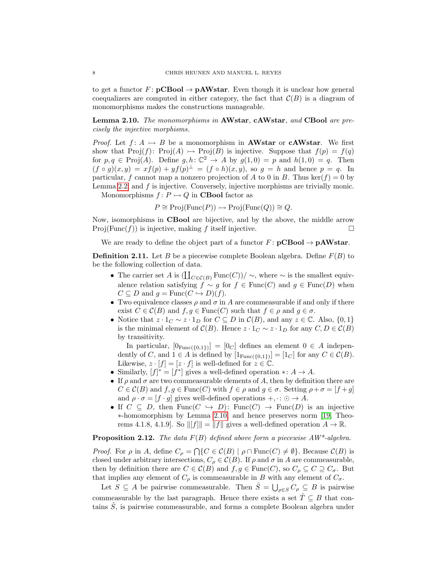to get a functor  $F: \mathbf{pCBool} \to \mathbf{pAWstar}$ . Even though it is unclear how general coequalizers are computed in either category, the fact that  $\mathcal{C}(B)$  is a diagram of monomorphisms makes the constructions manageable.

<span id="page-7-0"></span>Lemma 2.10. The monomorphisms in AWstar, cAWstar, and CBool are precisely the injective morphisms.

*Proof.* Let  $f: A \rightarrow B$  be a monomorphism in **AWstar** or **cAWstar**. We first show that  $Proj(f)$ :  $Proj(A) \rightarrow Proj(B)$  is injective. Suppose that  $f(p) = f(q)$ for  $p, q \in \text{Proj}(A)$ . Define  $g, h: \mathbb{C}^2 \to A$  by  $g(1, 0) = p$  and  $h(1, 0) = q$ . Then  $(f \circ g)(x, y) = xf(p) + yf(p)^{\perp} = (f \circ h)(x, y)$ , so  $g = h$  and hence  $p = q$ . In particular, f cannot map a nonzero projection of A to 0 in B. Thus ker(f) = 0 by Lemma [2.2,](#page-3-0) and f is injective. Conversely, injective morphisms are trivially monic.

Monomorphisms  $f: P \rightarrow Q$  in **CBool** factor as

 $P \cong \text{Proj}(\text{Func}(P)) \rightarrow \text{Proj}(\text{Func}(Q)) \cong Q.$ 

Now, isomorphisms in CBool are bijective, and by the above, the middle arrow  $\text{Proj}(\text{Func}(f))$  is injective, making f itself injective.

We are ready to define the object part of a functor  $F: \mathbf{pCBool} \to \mathbf{pAWstar}.$ 

<span id="page-7-1"></span>**Definition 2.11.** Let B be a piecewise complete Boolean algebra. Define  $F(B)$  to be the following collection of data.

- The carrier set A is  $(\coprod_{C \in \mathcal{C}(B)} \text{Func}(C))/ \sim$ , where  $\sim$  is the smallest equivalence relation satisfying  $f \sim g$  for  $f \in \text{Func}(C)$  and  $g \in \text{Func}(D)$  when  $C \subseteq D$  and  $q = \text{Func}(C \hookrightarrow D)(f)$ .
- Two equivalence classes  $\rho$  and  $\sigma$  in A are commeasurable if and only if there exist  $C \in \mathcal{C}(B)$  and  $f, g \in \text{Func}(C)$  such that  $f \in \rho$  and  $g \in \sigma$ .
- Notice that  $z \cdot 1_C \sim z \cdot 1_D$  for  $C \subseteq D$  in  $\mathcal{C}(B)$ , and any  $z \in \mathbb{C}$ . Also,  $\{0,1\}$ is the minimal element of  $C(B)$ . Hence  $z \cdot 1_C \sim z \cdot 1_D$  for any  $C, D \in C(B)$ by transitivity.

In particular,  $[0_{\text{Func}(\{0,1\})}] = [0_C]$  defines an element  $0 \in A$  independently of C, and  $1 \in A$  is defined by  $[1_{\text{Func}(\{0,1\})}] = [1_C]$  for any  $C \in \mathcal{C}(B)$ . Likewise,  $z \cdot [f] = [z \cdot f]$  is well-defined for  $z \in \mathbb{C}$ .

- Similarly,  $[f]^* = [f^*]$  gives a well-defined operation  $\ast: A \to A$ .
- If  $\rho$  and  $\sigma$  are two commeasurable elements of A, then by definition there are  $C \in \mathcal{C}(B)$  and  $f, g \in \text{Func}(C)$  with  $f \in \rho$  and  $g \in \sigma$ . Setting  $\rho + \sigma = [f + g]$ and  $\rho \cdot \sigma = [f \cdot g]$  gives well-defined operations  $+,\cdot : \odot \rightarrow A$ .
- If  $C \subseteq D$ , then  $Func(C \hookrightarrow D)$ :  $Func(C) \rightarrow Func(D)$  is an injective ∗-homomorphism by Lemma [2.10,](#page-7-0) and hence preserves norm [\[19,](#page-23-13) Theorems 4.1.8, 4.1.9]. So  $||[f]|| = ||f||$  gives a well-defined operation  $A \to \mathbb{R}$ .

# **Proposition 2.12.** The data  $F(B)$  defined above form a piecewise  $AW^*$ -algebra.

*Proof.* For  $\rho$  in A, define  $C_{\rho} = \bigcap \{ C \in \mathcal{C}(B) \mid \rho \cap \text{Func}(C) \neq \emptyset \}$ . Because  $\mathcal{C}(B)$  is closed under arbitrary intersections,  $C_{\rho} \in \mathcal{C}(B)$ . If  $\rho$  and  $\sigma$  in A are commeasurable, then by definition there are  $C \in \mathcal{C}(B)$  and  $f, g \in \text{Func}(C)$ , so  $C_{\rho} \subseteq C \supseteq C_{\sigma}$ . But that implies any element of  $C_{\rho}$  is commeasurable in B with any element of  $C_{\sigma}$ .

Let  $S \subseteq A$  be pairwise commeasurable. Then  $\hat{S} = \bigcup_{\rho \in S} C_{\rho} \subseteq B$  is pairwise commeasurable by the last paragraph. Hence there exists a set  $\hat{T} \subseteq B$  that contains  $\hat{S}$ , is pairwise commeasurable, and forms a complete Boolean algebra under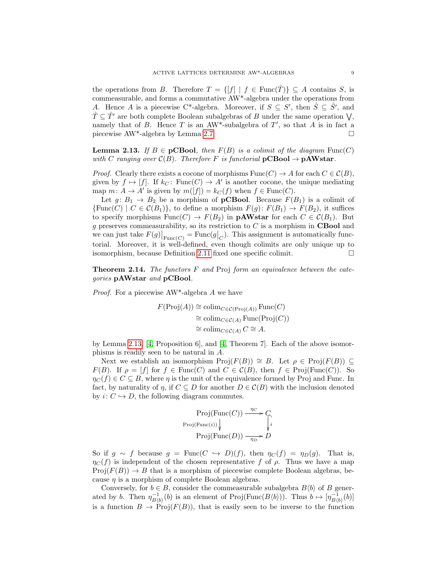the operations from B. Therefore  $T = \{ [f] | f \in \text{Func}(\hat{T}) \} \subseteq A$  contains S, is commeasurable, and forms a commutative AW\*-algebra under the operations from A. Hence A is a piecewise C\*-algebra. Moreover, if  $S \subseteq S'$ , then  $\hat{S} \subseteq \hat{S}'$ , and  $\hat{T} \subseteq \hat{T'}$  are both complete Boolean subalgebras of B under the same operation  $\bigvee$ , namely that of B. Hence T is an AW<sup>\*</sup>-subalgebra of  $T'$ , so that A is in fact a piecewise AW<sup>\*</sup>-algebra by Lemma [2.7.](#page-6-0)  $\Box$ 

<span id="page-8-0"></span>**Lemma 2.13.** If  $B \in \mathbf{pCBool}$ , then  $F(B)$  is a colimit of the diagram  $Func(C)$ with C ranging over  $C(B)$ . Therefore F is functorial  $pCBool \rightarrow pAWstar$ .

*Proof.* Clearly there exists a cocone of morphisms  $Func(C) \rightarrow A$  for each  $C \in C(B)$ , given by  $f \mapsto [f]$ . If  $k_C$ : Func $(C) \to A'$  is another cocone, the unique mediating map  $m: A \to A'$  is given by  $m([f]) = k<sub>C</sub>(f)$  when  $f \in \text{Func}(C)$ .

Let  $g: B_1 \to B_2$  be a morphism of **pCBool**. Because  $F(B_1)$  is a colimit of  ${\rm Func}(C) \mid C \in \mathcal{C}(B_1)$ , to define a morphism  $F(g) \colon F(B_1) \to F(B_2)$ , it suffices to specify morphisms  $Func(C) \rightarrow F(B_2)$  in **pAWstar** for each  $C \in \mathcal{C}(B_1)$ . But  $g$  preserves commeasurability, so its restriction to  $C$  is a morphism in **CBool** and we can just take  $F(g)|_{\text{Func}(C)} = \text{Func}(g|_{C})$ . This assignment is automatically functorial. Moreover, it is well-defined, even though colimits are only unique up to isomorphism, because Definition [2.11](#page-7-1) fixed one specific colimit.

<span id="page-8-1"></span>**Theorem 2.14.** The functors  $F$  and Proj form an equivalence between the categories pAWstar and pCBool.

Proof. For a piecewise AW\*-algebra A we have

$$
F(\text{Proj}(A)) \cong \text{colim}_{C \in \mathcal{C}(\text{Proj}(A))} \text{Func}(C)
$$

$$
\cong \text{colim}_{C \in \mathcal{C}(A)} \text{Func}(\text{Proj}(C))
$$

$$
\cong \text{colim}_{C \in \mathcal{C}(A)} C \cong A.
$$

by Lemma [2.13,](#page-8-0) [\[4,](#page-23-1) Proposition 6], and [\[4,](#page-23-1) Theorem 7]. Each of the above isomorphisms is readily seen to be natural in A.

Next we establish an isomorphism  $\text{Proj}(F(B)) \cong B$ . Let  $\rho \in \text{Proj}(F(B))$  ⊆  $F(B)$ . If  $\rho = [f]$  for  $f \in \text{Func}(C)$  and  $C \in \mathcal{C}(B)$ , then  $f \in \text{Proj}(\text{Func}(C))$ . So  $\eta_C(f) \in C \subseteq B$ , where  $\eta$  is the unit of the equivalence formed by Proj and Func. In fact, by naturality of  $\eta$ , if  $C \subseteq D$  for another  $D \in \mathcal{C}(B)$  with the inclusion denoted by  $i: C \hookrightarrow D$ , the following diagram commutes.

$$
\text{Proj}(\text{Func}(C)) \xrightarrow{\eta_C} C
$$
  
 
$$
\text{Proj}(\text{Func}(i)) \downarrow \qquad \qquad \downarrow
$$
  
 
$$
\text{Proj}(\text{Func}(D)) \xrightarrow{\eta_D} D
$$

So if  $g \sim f$  because  $g = \text{Func}(C \leftrightarrow D)(f)$ , then  $\eta_C(f) = \eta_D(g)$ . That is,  $\eta_C(f)$  is independent of the chosen representative f of  $\rho$ . Thus we have a map  $Proj(F(B)) \to B$  that is a morphism of piecewise complete Boolean algebras, because  $\eta$  is a morphism of complete Boolean algebras.

Conversely, for  $b \in B$ , consider the commeasurable subalgebra  $B\langle b \rangle$  of B generated by b. Then  $\eta_{B\langle b\rangle}^{-1}(b)$  is an element of Proj(Func $(B\langle b\rangle)$ ). Thus  $b \mapsto [\eta_{B\langle b\rangle}^{-1}(b)]$ is a function  $B \to \text{Proj}(F(B))$ , that is easily seen to be inverse to the function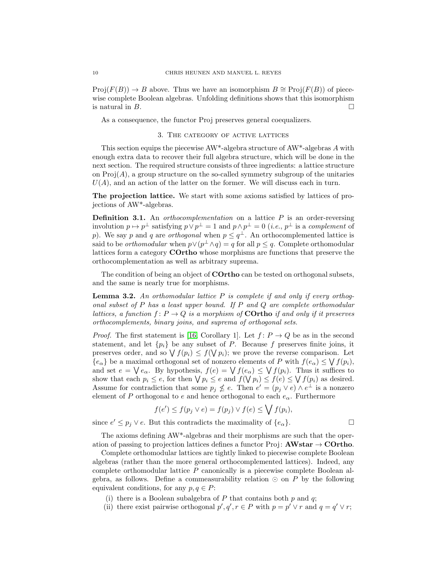$Proj(F(B)) \to B$  above. Thus we have an isomorphism  $B \cong Proj(F(B))$  of piecewise complete Boolean algebras. Unfolding definitions shows that this isomorphism is natural in  $B$ .

<span id="page-9-0"></span>As a consequence, the functor Proj preserves general coequalizers.

### 3. The category of active lattices

This section equips the piecewise  $AW^*$ -algebra structure of  $AW^*$ -algebras A with enough extra data to recover their full algebra structure, which will be done in the next section. The required structure consists of three ingredients: a lattice structure on  $\text{Proj}(A)$ , a group structure on the so-called symmetry subgroup of the unitaries  $U(A)$ , and an action of the latter on the former. We will discuss each in turn.

The projection lattice. We start with some axioms satisfied by lattices of projections of AW\*-algebras.

**Definition 3.1.** An *orthocomplementation* on a lattice  $P$  is an order-reversing involution  $p \mapsto p^{\perp}$  satisfying  $p \vee p^{\perp} = 1$  and  $p \wedge p^{\perp} = 0$  (*i.e.*,  $p^{\perp}$  is a *complement* of p). We say p and q are *orthogonal* when  $p \leq q^{\perp}$ . An orthocomplemented lattice is said to be *orthomodular* when  $p \vee (p^{\perp} \wedge q) = q$  for all  $p \leq q$ . Complete orthomodular lattices form a category COrtho whose morphisms are functions that preserve the orthocomplementation as well as arbitrary suprema.

The condition of being an object of **COrtho** can be tested on orthogonal subsets, and the same is nearly true for morphisms.

<span id="page-9-1"></span>**Lemma 3.2.** An orthomodular lattice  $P$  is complete if and only if every orthogonal subset of P has a least upper bound. If P and Q are complete orthomodular lattices, a function  $f: P \to Q$  is a morphism of **COrtho** if and only if it preserves orthocomplements, binary joins, and suprema of orthogonal sets.

*Proof.* The first statement is [\[16,](#page-23-14) Corollary 1]. Let  $f: P \to Q$  be as in the second statement, and let  $\{p_i\}$  be any subset of P. Because f preserves finite joins, it preserves order, and so  $\bigvee f(p_i) \leq f(\bigvee p_i)$ ; we prove the reverse comparison. Let  ${e_{\alpha}}$  be a maximal orthogonal set of nonzero elements of P with  $f(e_{\alpha}) \leq \bigvee f(p_i)$ , and set  $e = \bigvee e_{\alpha}$ . By hypothesis,  $f(e) = \bigvee f(e_{\alpha}) \leq \bigvee f(p_i)$ . Thus it suffices to show that each  $p_i \leq e$ , for then  $\bigvee p_i \leq e$  and  $f(\bigvee p_i) \leq f(e) \leq \bigvee f(p_i)$  as desired. Assume for contradiction that some  $p_j \nleq e$ . Then  $e' = (p_j \vee e) \wedge e^{\perp}$  is a nonzero element of P orthogonal to e and hence orthogonal to each  $e_{\alpha}$ . Furthermore

$$
f(e') \le f(p_j \vee e) = f(p_j) \vee f(e) \le \bigvee f(p_i),
$$

since  $e' \leq p_j \vee e$ . But this contradicts the maximality of  $\{e_{\alpha}\}.$ 

The axioms defining AW\*-algebras and their morphisms are such that the operation of passing to projection lattices defines a functor Proj:  $AWstar \rightarrow$  COrtho.

Complete orthomodular lattices are tightly linked to piecewise complete Boolean algebras (rather than the more general orthocomplemented lattices). Indeed, any complete orthomodular lattice P canonically is a piecewise complete Boolean algebra, as follows. Define a commeasurability relation  $\odot$  on P by the following equivalent conditions, for any  $p, q \in P$ :

- (i) there is a Boolean subalgebra of P that contains both  $p$  and  $q$ ;
- (ii) there exist pairwise orthogonal  $p', q', r \in P$  with  $p = p' \vee r$  and  $q = q' \vee r$ ;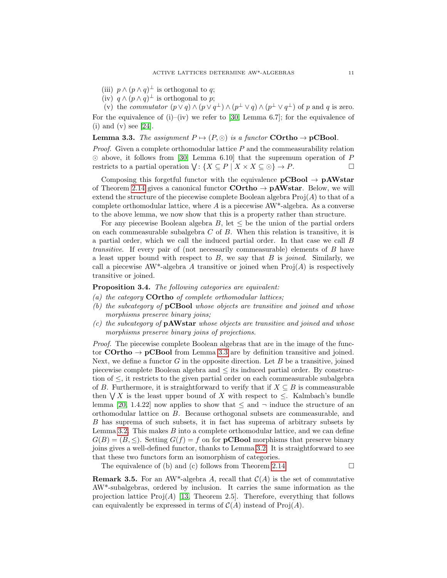(iii)  $p \wedge (p \wedge q)^{\perp}$  is orthogonal to q;

(iv)  $q \wedge (p \wedge q)^{\perp}$  is orthogonal to p;

(v) the commutator  $(p \lor q) \land (p \lor q^{\perp}) \land (p^{\perp} \lor q) \land (p^{\perp} \lor q^{\perp})$  of p and q is zero. For the equivalence of (i)–(iv) we refer to [\[30,](#page-24-4) Lemma 6.7]; for the equivalence of  $(i)$  and  $(v)$  see [\[24\]](#page-24-5).

### <span id="page-10-0"></span>**Lemma 3.3.** The assignment  $P \mapsto (P, \odot)$  is a functor **COrtho**  $\rightarrow$  **pCBool**.

*Proof.* Given a complete orthomodular lattice  $P$  and the commeasurability relation  $\odot$  above, it follows from [\[30,](#page-24-4) Lemma 6.10] that the supremum operation of P restricts to a partial operation  $\bigvee: \{X \subseteq P \mid X \times X \subseteq \bigcirc\} \to P.$ 

Composing this forgetful functor with the equivalence  $pCBool \rightarrow pAWstar$ of Theorem [2.14](#page-8-1) gives a canonical functor  $\text{Cortho} \to \text{pAWstar}$ . Below, we will extend the structure of the piecewise complete Boolean algebra  $\text{Proj}(A)$  to that of a complete orthomodular lattice, where  $\ddot{A}$  is a piecewise AW<sup>\*</sup>-algebra. As a converse to the above lemma, we now show that this is a property rather than structure.

For any piecewise Boolean algebra  $B$ , let  $\leq$  be the union of the partial orders on each commeasurable subalgebra  $C$  of  $B$ . When this relation is transitive, it is a partial order, which we call the induced partial order. In that case we call B transitive. If every pair of (not necessarily commeasurable) elements of B have a least upper bound with respect to  $B$ , we say that  $B$  is *joined*. Similarly, we call a piecewise AW<sup>\*</sup>-algebra A transitive or joined when  $\text{Proj}(A)$  is respectively transitive or joined.

Proposition 3.4. The following categories are equivalent:

- (a) the category **COrtho** of complete orthomodular lattices;
- (b) the subcategory of pCBool whose objects are transitive and joined and whose morphisms preserve binary joins;
- $(c)$  the subcategory of **pAWstar** whose objects are transitive and joined and whose morphisms preserve binary joins of projections.

Proof. The piecewise complete Boolean algebras that are in the image of the functor **COrtho**  $\rightarrow$  **pCBool** from Lemma [3.3](#page-10-0) are by definition transitive and joined. Next, we define a functor  $G$  in the opposite direction. Let  $B$  be a transitive, joined piecewise complete Boolean algebra and  $\leq$  its induced partial order. By construction of ≤, it restricts to the given partial order on each commeasurable subalgebra of B. Furthermore, it is straightforward to verify that if  $X \subseteq B$  is commeasurable then  $\bigvee X$  is the least upper bound of X with respect to  $\leq$ . Kalmbach's bundle lemma [\[20,](#page-23-15) 1.4.22] now applies to show that  $\leq$  and  $\neg$  induce the structure of an orthomodular lattice on B. Because orthogonal subsets are commeasurable, and B has suprema of such subsets, it in fact has suprema of arbitrary subsets by Lemma [3.2.](#page-9-1) This makes  $B$  into a complete orthomodular lattice, and we can define  $G(B) = (B, \leq)$ . Setting  $G(f) = f$  on for **pCBool** morphisms that preserve binary joins gives a well-defined functor, thanks to Lemma [3.2.](#page-9-1) It is straightforward to see that these two functors form an isomorphism of categories.

The equivalence of (b) and (c) follows from Theorem [2.14.](#page-8-1)  $\Box$ 

**Remark 3.5.** For an AW<sup>\*</sup>-algebra A, recall that  $C(A)$  is the set of commutative AW\*-subalgebras, ordered by inclusion. It carries the same information as the projection lattice  $Proj(A)$  [\[13,](#page-23-16) Theorem 2.5]. Therefore, everything that follows can equivalently be expressed in terms of  $C(A)$  instead of  $\text{Proj}(A)$ .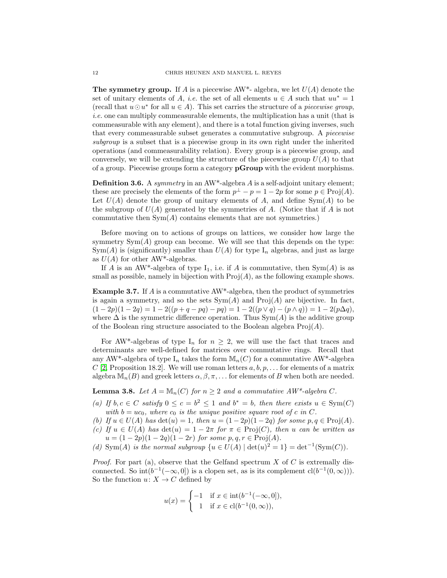**The symmetry group.** If A is a piecewise AW<sup>\*</sup>- algebra, we let  $U(A)$  denote the set of unitary elements of A, *i.e.* the set of all elements  $u \in A$  such that  $uu^* = 1$ (recall that  $u \odot u^*$  for all  $u \in A$ ). This set carries the structure of a piecewise group, i.e. one can multiply commeasurable elements, the multiplication has a unit (that is commeasurable with any element), and there is a total function giving inverses, such that every commeasurable subset generates a commutative subgroup. A piecewise subgroup is a subset that is a piecewise group in its own right under the inherited operations (and commeasurability relation). Every group is a piecewise group, and conversely, we will be extending the structure of the piecewise group  $U(A)$  to that of a group. Piecewise groups form a category pGroup with the evident morphisms.

**Definition 3.6.** A symmetry in an  $AW^*$ -algebra A is a self-adjoint unitary element; these are precisely the elements of the form  $p^{\perp} - p = 1 - 2p$  for some  $p \in \text{Proj}(A)$ . Let  $U(A)$  denote the group of unitary elements of A, and define Sym $(A)$  to be the subgroup of  $U(A)$  generated by the symmetries of A. (Notice that if A is not commutative then  $Sym(A)$  contains elements that are not symmetries.)

Before moving on to actions of groups on lattices, we consider how large the symmetry  $Sym(A)$  group can become. We will see that this depends on the type:  $Sym(A)$  is (significantly) smaller than  $U(A)$  for type I<sub>n</sub> algebras, and just as large as  $U(A)$  for other AW<sup>\*</sup>-algebras.

If A is an AW\*-algebra of type  $I_1$ , i.e. if A is commutative, then  $Sym(A)$  is as small as possible, namely in bijection with  $Proj(A)$ , as the following example shows.

<span id="page-11-1"></span>**Example 3.7.** If  $\vec{A}$  is a commutative AW<sup>\*</sup>-algebra, then the product of symmetries is again a symmetry, and so the sets  $Sym(A)$  and  $Proj(A)$  are bijective. In fact,  $(1-2p)(1-2q) = 1 - 2((p+q-pq) - pq) = 1 - 2((p \vee q) - (p \wedge q)) = 1 - 2(p \Delta q),$ where  $\Delta$  is the symmetric difference operation. Thus Sym $(A)$  is the additive group of the Boolean ring structure associated to the Boolean algebra  $\text{Proj}(A)$ .

For AW<sup>\*</sup>-algebras of type I<sub>n</sub> for  $n \geq 2$ , we will use the fact that traces and determinants are well-defined for matrices over commutative rings. Recall that any AW<sup>\*</sup>-algebra of type  $I_n$  takes the form  $\mathbb{M}_n(C)$  for a commutative AW<sup>\*</sup>-algebra C [\[2,](#page-23-10) Proposition 18.2]. We will use roman letters  $a, b, p, \ldots$  for elements of a matrix algebra  $\mathbb{M}_n(B)$  and greek letters  $\alpha, \beta, \pi, \ldots$  for elements of B when both are needed.

<span id="page-11-0"></span>**Lemma 3.8.** Let  $A = \mathbb{M}_n(C)$  for  $n \geq 2$  and a commutative AW\*-algebra C.

- (a) If  $b, c \in C$  satisfy  $0 \leq c = b^2 \leq 1$  and  $b^* = b$ , then there exists  $u \in \text{Sym}(C)$ with  $b = uc_0$ , where  $c_0$  is the unique positive square root of c in C.
- (b) If  $u \in U(A)$  has  $\det(u) = 1$ , then  $u = (1 2p)(1 2q)$  for some  $p, q \in \text{Proj}(A)$ .
- (c) If  $u \in U(A)$  has  $det(u) = 1 2\pi$  for  $\pi \in Proj(C)$ , then u can be written as  $u = (1 - 2p)(1 - 2q)(1 - 2r)$  for some  $p, q, r \in \text{Proj}(A)$ .
- (d) Sym(A) is the normal subgroup  $\{u \in U(A) \mid \det(u)^2 = 1\} = \det^{-1}(\text{Sym}(C)).$

*Proof.* For part (a), observe that the Gelfand spectrum  $X$  of  $C$  is extremally disconnected. So  $\text{int}(b^{-1}(-\infty,0])$  is a clopen set, as is its complement  $\text{cl}(b^{-1}(0,\infty))$ . So the function  $u: X \to C$  defined by

$$
u(x) = \begin{cases} -1 & \text{if } x \in \text{int}(b^{-1}(-\infty, 0]), \\ 1 & \text{if } x \in \text{cl}(b^{-1}(0, \infty)), \end{cases}
$$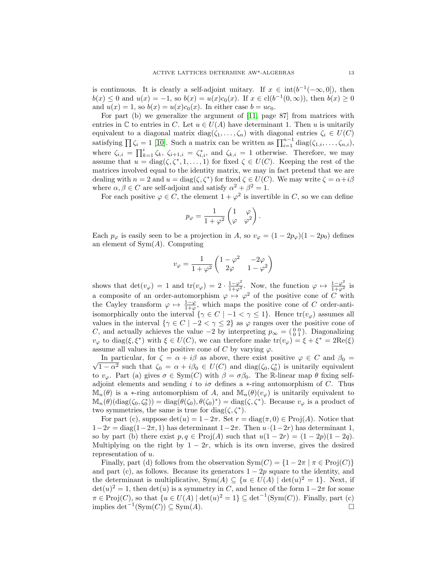is continuous. It is clearly a self-adjoint unitary. If  $x \in int(b^{-1}(-\infty, 0])$ , then  $b(x) \leq 0$  and  $u(x) = -1$ , so  $b(x) = u(x)c_0(x)$ . If  $x \in cl(b^{-1}(0, \infty))$ , then  $b(x) \geq 0$ and  $u(x) = 1$ , so  $b(x) = u(x)c_0(x)$ . In either case  $b = uc_0$ .

For part (b) we generalize the argument of [\[11,](#page-23-8) page 87] from matrices with entries in C to entries in C. Let  $u \in U(A)$  have determinant 1. Then u is unitarily equivalent to a diagonal matrix  $diag(\zeta_1, \ldots, \zeta_n)$  with diagonal entries  $\zeta_i \in U(C)$ satisfying  $\prod \zeta_i = 1$  [\[10\]](#page-23-17). Such a matrix can be written as  $\prod_{i=1}^{n-1} \text{diag}(\zeta_{1,i}, \ldots, \zeta_{n,i}),$ where  $\zeta_{i,i} = \prod_{k=1}^{i} \zeta_k$ ,  $\zeta_{i+1,i} = \zeta_{i,i}^*$ , and  $\zeta_{k,i} = 1$  otherwise. Therefore, we may assume that  $u = diag(\zeta, \zeta^*, 1, \ldots, 1)$  for fixed  $\zeta \in U(C)$ . Keeping the rest of the matrices involved equal to the identity matrix, we may in fact pretend that we are dealing with  $n = 2$  and  $u = diag(\zeta, \zeta^*)$  for fixed  $\zeta \in U(C)$ . We may write  $\zeta = \alpha + i\beta$ where  $\alpha, \beta \in C$  are self-adjoint and satisfy  $\alpha^2 + \beta^2 = 1$ .

For each positive  $\varphi \in C$ , the element  $1 + \varphi^2$  is invertible in C, so we can define

$$
p_{\varphi} = \frac{1}{1+\varphi^2} \begin{pmatrix} 1 & \varphi \\ \varphi & \varphi^2 \end{pmatrix}.
$$

Each  $p_{\varphi}$  is easily seen to be a projection in A, so  $v_{\varphi} = (1 - 2p_{\varphi})(1 - 2p_0)$  defines an element of  $Sym(A)$ . Computing

$$
v_\varphi=\frac{1}{1+\varphi^2}\begin{pmatrix}1-\varphi^2 & -2\varphi\\ 2\varphi & 1-\varphi^2\end{pmatrix}
$$

shows that  $\det(v_\varphi) = 1$  and  $\text{tr}(v_\varphi) = 2 \cdot \frac{1-\varphi^2}{1+\varphi^2}$ . Now, the function  $\varphi \mapsto \frac{1-\varphi^2}{1+\varphi^2}$  is a composite of an order-automorphism  $\varphi \mapsto \varphi^2$  of the positive cone of C with the Cayley transform  $\varphi \mapsto \frac{1-\varphi}{1+\varphi}$ , which maps the positive cone of C order-antiisomorphically onto the interval  $\{\gamma \in C \mid -1 < \gamma \leq 1\}$ . Hence  $tr(v_{\varphi})$  assumes all values in the interval  $\{\gamma \in C \mid -2 < \gamma \leq 2\}$  as  $\varphi$  ranges over the positive cone of C, and actually achieves the value  $-2$  by interpreting  $p_{\infty} = \begin{pmatrix} 0 & 0 \\ 0 & 1 \end{pmatrix}$ . Diagonalizing  $v_{\varphi}$  to diag( $\xi, \xi^*$ ) with  $\xi \in U(C)$ , we can therefore make  $\text{tr}(v_{\varphi}) = \xi + \xi^* = 2\text{Re}(\xi)$ assume all values in the positive cone of C by varying  $\varphi$ .

In particular, for  $\zeta = \alpha + i\beta_0$  as above, there exist positive  $\varphi \in C$  and  $\beta_0 = \sqrt{1 - \alpha^2}$  such that  $\zeta_0 = \alpha + i\beta_0 \in U(C)$  and diag( $\zeta_0, \zeta_0^*$ ) is unitarily equivalent In particular, for  $\zeta = \alpha + i\beta$  as above, there exist positive  $\varphi \in C$  and  $\beta_0 =$ to  $v_{\varphi}$ . Part (a) gives  $\sigma \in \text{Sym}(C)$  with  $\beta = \sigma \beta_0$ . The R-linear map  $\theta$  fixing selfadjoint elements and sending i to i $\sigma$  defines a  $*$ -ring automorphism of C. Thus  $\mathbb{M}_n(\theta)$  is a \*-ring automorphism of A, and  $\mathbb{M}_n(\theta)(v_{\varphi})$  is unitarily equivalent to  $\mathbb{M}_n(\theta)(\text{diag}(\zeta_0,\zeta_0^*)) = \text{diag}(\theta(\zeta_0),\theta(\zeta_0)^*) = \text{diag}(\zeta,\zeta^*)$ . Because  $v_\varphi$  is a product of two symmetries, the same is true for diag( $\zeta, \zeta^*$ ).

For part (c), suppose  $\det(u) = 1-2\pi$ . Set  $r = \text{diag}(\pi, 0) \in \text{Proj}(A)$ . Notice that  $1-2r = \text{diag}(1-2\pi, 1)$  has determinant  $1-2\pi$ . Then  $u \cdot (1-2r)$  has determinant 1, so by part (b) there exist  $p, q \in \text{Proj}(A)$  such that  $u(1 - 2r) = (1 - 2p)(1 - 2q)$ . Multiplying on the right by  $1 - 2r$ , which is its own inverse, gives the desired representation of u.

Finally, part (d) follows from the observation  $Sym(C) = \{1 - 2\pi \mid \pi \in Proj(C)\}\$ and part (c), as follows. Because its generators  $1 - 2p$  square to the identity, and the determinant is multiplicative,  $Sym(A) \subseteq \{u \in U(A) \mid \det(u)^2 = 1\}$ . Next, if  $\det(u)^2 = 1$ , then  $\det(u)$  is a symmetry in C, and hence of the form  $1-2\pi$  for some  $\pi \in \mathrm{Proj}(C)$ , so that  $\{u \in U(A) \mid \det(u)^2 = 1\} \subseteq \det^{-1}(\mathrm{Sym}(C))$ . Finally, part (c) implies det<sup>-1</sup>(Sym(C)) ⊆ Sym(A).  $□$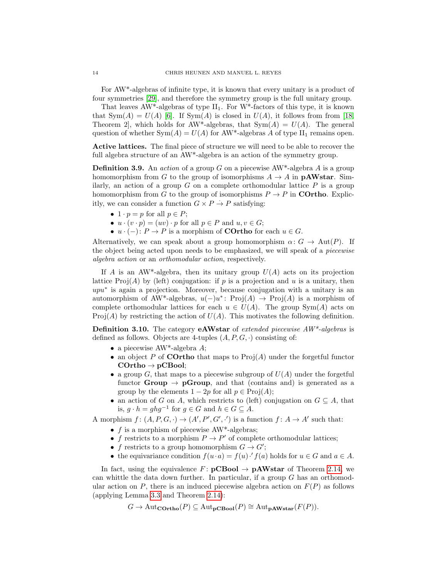For AW\*-algebras of infinite type, it is known that every unitary is a product of four symmetries [\[29\]](#page-24-6), and therefore the symmetry group is the full unitary group.

That leaves  $AW^*$ -algebras of type  $II_1$ . For  $W^*$ -factors of this type, it is known that  $Sym(A) = U(A)$  [\[6\]](#page-23-18). If  $Sym(A)$  is closed in  $U(A)$ , it follows from from [\[18,](#page-23-19) Theorem 2, which holds for AW\*-algebras, that  $Sym(A) = U(A)$ . The general question of whether  $Sym(A) = U(A)$  for AW\*-algebras A of type  $II_1$  remains open.

Active lattices. The final piece of structure we will need to be able to recover the full algebra structure of an AW<sup>\*</sup>-algebra is an action of the symmetry group.

**Definition 3.9.** An *action* of a group G on a piecewise  $AW^*$ -algebra A is a group homomorphism from G to the group of isomorphisms  $A \to A$  in **pAWstar**. Similarly, an action of a group  $G$  on a complete orthomodular lattice  $P$  is a group homomorphism from G to the group of isomorphisms  $P \to P$  in **COrtho.** Explicitly, we can consider a function  $G \times P \to P$  satisfying:

- $1 \cdot p = p$  for all  $p \in P$ ;
- $u \cdot (v \cdot p) = (uv) \cdot p$  for all  $p \in P$  and  $u, v \in G$ ;
- $u \cdot (-) \colon P \to P$  is a morphism of **COrtho** for each  $u \in G$ .

Alternatively, we can speak about a group homomorphism  $\alpha: G \to \text{Aut}(P)$ . If the object being acted upon needs to be emphasized, we will speak of a piecewise algebra action or an orthomodular action, respectively.

If A is an AW<sup>\*</sup>-algebra, then its unitary group  $U(A)$  acts on its projection lattice  $\text{Proj}(A)$  by (left) conjugation: if p is a projection and u is a unitary, then upu<sup>\*</sup> is again a projection. Moreover, because conjugation with a unitary is an automorphism of AW<sup>\*</sup>-algebras,  $u(-)u^*$ : Proj $(A) \rightarrow \text{Proj}(A)$  is a morphism of complete orthomodular lattices for each  $u \in U(A)$ . The group  $Sym(A)$  acts on Proj(A) by restricting the action of  $U(A)$ . This motivates the following definition.

**Definition 3.10.** The category **eAWstar** of *extended piecewise*  $AW^*$ -algebras is defined as follows. Objects are 4-tuples  $(A, P, G, \cdot)$  consisting of:

- a piecewise  $AW^*$ -algebra  $A$ ;
- an object P of **COrtho** that maps to  $\text{Proj}(A)$  under the forgetful functor  $\mathrm{COrtho}\rightarrow\mathrm{pCBool};$
- a group  $G$ , that maps to a piecewise subgroup of  $U(A)$  under the forgetful functor **Group**  $\rightarrow$  **pGroup**, and that (contains and) is generated as a group by the elements  $1 - 2p$  for all  $p \in Proj(A);$
- an action of G on A, which restricts to (left) conjugation on  $G \subseteq A$ , that is,  $g \cdot h = ghg^{-1}$  for  $g \in G$  and  $h \in G \subseteq A$ .

A morphism  $f: (A, P, G, \cdot) \to (A', P', G', \cdot')$  is a function  $f: A \to A'$  such that:

- $f$  is a morphism of piecewise AW<sup>\*</sup>-algebras;
- f restricts to a morphism  $P \to P'$  of complete orthomodular lattices;
- f restricts to a group homomorphism  $G \to G'$ ;
- the equivariance condition  $f(u \cdot a) = f(u) \cdot f(a)$  holds for  $u \in G$  and  $a \in A$ .

In fact, using the equivalence  $F: {\bf pCBool} \to {\bf pAWstar}$  of Theorem [2.14,](#page-8-1) we can whittle the data down further. In particular, if a group  $G$  has an orthomodular action on P, there is an induced piecewise algebra action on  $F(P)$  as follows (applying Lemma [3.3](#page-10-0) and Theorem [2.14\)](#page-8-1):

$$
G \to \mathrm{Aut}_{\mathbf{COrtho}}(P) \subseteq \mathrm{Aut}_{\mathbf{pCBool}}(P) \cong \mathrm{Aut}_{\mathbf{pAWstar}}(F(P)).
$$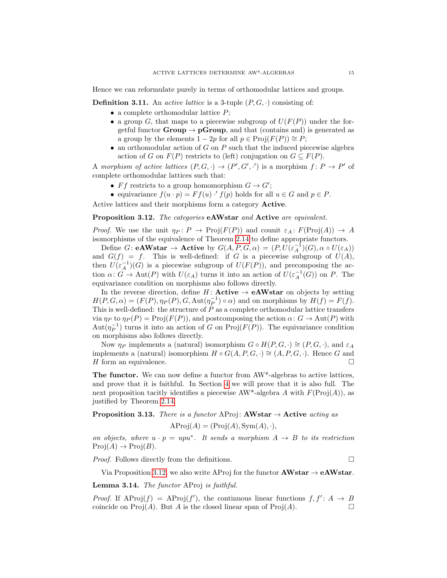Hence we can reformulate purely in terms of orthomodular lattices and groups.

<span id="page-14-1"></span>**Definition 3.11.** An *active lattice* is a 3-tuple  $(P, G, \cdot)$  consisting of:

- a complete orthomodular lattice  $P$ ;
- a group G, that maps to a piecewise subgroup of  $U(F(P))$  under the forgetful functor **Group**  $\rightarrow$  **pGroup**, and that (contains and) is generated as a group by the elements  $1 - 2p$  for all  $p \in \text{Proj}(F(P)) \cong P$ ;
- an orthomodular action of  $G$  on  $P$  such that the induced piecewise algebra action of G on  $F(P)$  restricts to (left) conjugation on  $G \subseteq F(P)$ .

A morphism of active lattices  $(P, G, \cdot) \to (P', G', \cdot')$  is a morphism  $f: P \to P'$  of complete orthomodular lattices such that:

- *Ff* restricts to a group homomorphism  $G \to G'$ ;
- equivariance  $f(u \cdot p) = F f(u) \cdot f(p)$  holds for all  $u \in G$  and  $p \in P$ .

Active lattices and their morphisms form a category Active.

<span id="page-14-0"></span>Proposition 3.12. The categories eAWstar and Active are equivalent.

*Proof.* We use the unit  $\eta_P : P \to \text{Proj}(F(P))$  and counit  $\varepsilon_A : F(\text{Proj}(A)) \to A$ isomorphisms of the equivalence of Theorem [2.14](#page-8-1) to define appropriate functors.

Define  $G:$  **eAWstar**  $\rightarrow$  **Active** by  $G(A, P, G, \alpha) = (P, U(\varepsilon_A^{-1})(G), \alpha \circ U(\varepsilon_A))$ and  $G(f) = f$ . This is well-defined: if G is a piecewise subgroup of  $U(A)$ , then  $U(\varepsilon_A^{-1})(G)$  is a piecewise subgroup of  $U(F(P))$ , and precomposing the action  $\alpha\colon G\to \text{Aut}(P)$  with  $U(\varepsilon_A)$  turns it into an action of  $U(\varepsilon_A^{-1}(G))$  on P. The equivariance condition on morphisms also follows directly.

In the reverse direction, define  $H:$  **Active**  $\rightarrow$  **eAWstar** on objects by setting  $H(P, G, \alpha) = (F(P), \eta_P(P), G, \text{Aut}(\eta_P^{-1}) \circ \alpha)$  and on morphisms by  $H(f) = F(f)$ . This is well-defined: the structure of P as a complete orthomodular lattice transfers via  $\eta_P$  to  $\eta_P(P) = \text{Proj}(F(P))$ , and postcomposing the action  $\alpha: G \to \text{Aut}(P)$  with  $\text{Aut}(\eta_P^{-1})$  turns it into an action of G on Proj $(F(P))$ . The equivariance condition on morphisms also follows directly.

Now  $\eta_P$  implements a (natural) isomorphism  $G \circ H(P, G, \cdot) \cong (P, G, \cdot)$ , and  $\varepsilon_A$ implements a (natural) isomorphism  $H \circ G(A, P, G, \cdot) \cong (A, P, G, \cdot)$ . Hence G and H form an equivalence.

The functor. We can now define a functor from AW\*-algebras to active lattices, and prove that it is faithful. In Section [4](#page-16-0) we will prove that it is also full. The next proposition tacitly identifies a piecewise AW\*-algebra A with  $F(\text{Proj}(A))$ , as justified by Theorem [2.14.](#page-8-1)

<span id="page-14-2"></span>**Proposition 3.13.** There is a functor AProj:  $AWstar \rightarrow$  Active acting as

$$
AProj(A) = (Proj(A), Sym(A), \cdot),
$$

on objects, where  $u \cdot p = upu^*$ . It sends a morphism  $A \rightarrow B$  to its restriction  $Proj(A) \rightarrow Proj(B).$ 

Proof. Follows directly from the definitions.

$$
\Box
$$

Via Proposition [3.12,](#page-14-0) we also write AProj for the functor  $AWstar \rightarrow eAWstar$ .

<span id="page-14-3"></span>Lemma 3.14. The functor AProj is faithful.

*Proof.* If  $AProj(f) = AProj(f')$ , the continuous linear functions  $f, f' : A \rightarrow B$ coincide on  $\text{Proj}(A)$ . But A is the closed linear span of  $\text{Proj}(A)$ .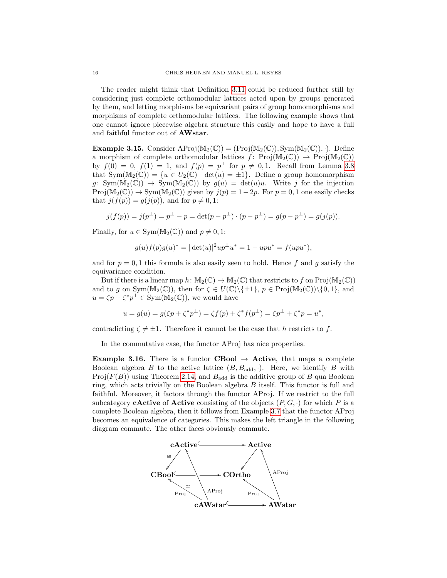The reader might think that Definition [3.11](#page-14-1) could be reduced further still by considering just complete orthomodular lattices acted upon by groups generated by them, and letting morphisms be equivariant pairs of group homomorphisms and morphisms of complete orthomodular lattices. The following example shows that one cannot ignore piecewise algebra structure this easily and hope to have a full and faithful functor out of AWstar.

**Example 3.15.** Consider  $\text{AProj}(\mathbb{M}_2(\mathbb{C})) = (\text{Proj}(\mathbb{M}_2(\mathbb{C})), \text{Sym}(\mathbb{M}_2(\mathbb{C})), \cdot)$ . Define a morphism of complete orthomodular lattices  $f: Proj(M_2(\mathbb{C})) \rightarrow Proj(M_2(\mathbb{C}))$ by  $f(0) = 0$ ,  $f(1) = 1$ , and  $f(p) = p^{\perp}$  for  $p \neq 0, 1$ . Recall from Lemma [3.8](#page-11-0) that  $Sym(M_2(\mathbb{C})) = \{u \in U_2(\mathbb{C}) \mid \det(u) = \pm 1\}.$  Define a group homomorphism  $g: Sym(M_2(\mathbb{C})) \rightarrow Sym(M_2(\mathbb{C}))$  by  $g(u) = det(u)u$ . Write j for the injection  $Proj(M_2(\mathbb{C})) \to Sym(M_2(\mathbb{C}))$  given by  $j(p) = 1 - 2p$ . For  $p = 0, 1$  one easily checks that  $j(f(p)) = g(j(p))$ , and for  $p \neq 0, 1$ :

$$
j(f(p)) = j(p^{\perp}) = p^{\perp} - p = \det(p - p^{\perp}) \cdot (p - p^{\perp}) = g(p - p^{\perp}) = g(j(p)).
$$

Finally, for  $u \in Sym(M_2(\mathbb{C}))$  and  $p \neq 0, 1$ :

$$
g(u)f(p)g(u)^{*} = |\det(u)|^{2}up^{\perp}u^{*} = 1 - upu^{*} = f(upu^{*}),
$$

and for  $p = 0, 1$  this formula is also easily seen to hold. Hence f and g satisfy the equivariance condition.

But if there is a linear map  $h: \mathbb{M}_2(\mathbb{C}) \to \mathbb{M}_2(\mathbb{C})$  that restricts to f on  $\text{Proj}(\mathbb{M}_2(\mathbb{C}))$ and to g on Sym( $M_2(\mathbb{C})$ ), then for  $\zeta \in U(\mathbb{C})\setminus \{\pm 1\}$ ,  $p \in \text{Proj}(M_2(\mathbb{C}))\setminus \{0, 1\}$ , and  $u = \zeta p + \zeta^* p^{\perp} \in \text{Sym}(\tilde{M}_2(\mathbb{C}))$ , we would have

$$
u = g(u) = g(\zeta p + \zeta^* p^{\perp}) = \zeta f(p) + \zeta^* f(p^{\perp}) = \zeta p^{\perp} + \zeta^* p = u^*,
$$

contradicting  $\zeta \neq \pm 1$ . Therefore it cannot be the case that h restricts to f.

In the commutative case, the functor AProj has nice properties.

**Example 3.16.** There is a functor **CBool**  $\rightarrow$  **Active**, that maps a complete Boolean algebra B to the active lattice  $(B, B_{\text{add}}, \cdot)$ . Here, we identify B with Proj $(F(B))$  using Theorem [2.14,](#page-8-1) and  $B_{\text{add}}$  is the additive group of B qua Boolean ring, which acts trivially on the Boolean algebra B itself. This functor is full and faithful. Moreover, it factors through the functor AProj. If we restrict to the full subcategory **cActive** of **Active** consisting of the objects  $(P, G, \cdot)$  for which P is a complete Boolean algebra, then it follows from Example [3.7](#page-11-1) that the functor AProj becomes an equivalence of categories. This makes the left triangle in the following diagram commute. The other faces obviously commute.

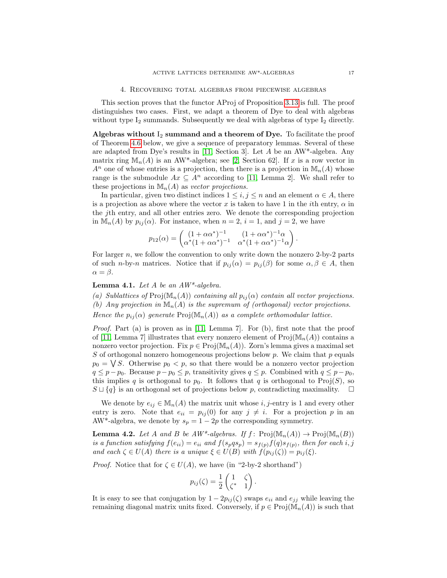<span id="page-16-0"></span>This section proves that the functor AProj of Proposition [3.13](#page-14-2) is full. The proof distinguishes two cases. First, we adapt a theorem of Dye to deal with algebras without type  $I_2$  summands. Subsequently we deal with algebras of type  $I_2$  directly.

Algebras without  $I_2$  summand and a theorem of Dye. To facilitate the proof of Theorem [4.6](#page-19-0) below, we give a sequence of preparatory lemmas. Several of these are adapted from Dye's results in [\[11,](#page-23-8) Section 3]. Let  $A$  be an AW\*-algebra. Any matrix ring  $\mathbb{M}_n(A)$  is an AW<sup>\*</sup>-algebra; see [\[2,](#page-23-10) Section 62]. If x is a row vector in  $A^n$  one of whose entries is a projection, then there is a projection in  $\mathbb{M}_n(A)$  whose range is the submodule  $Ax \subseteq A^n$  according to [\[11,](#page-23-8) Lemma 2]. We shall refer to these projections in  $\mathbb{M}_n(A)$  as vector projections.

In particular, given two distinct indices  $1 \leq i, j \leq n$  and an element  $\alpha \in A$ , there is a projection as above where the vector x is taken to have 1 in the *i*th entry,  $\alpha$  in the jth entry, and all other entries zero. We denote the corresponding projection in  $\mathbb{M}_n(A)$  by  $p_{ij}(\alpha)$ . For instance, when  $n = 2$ ,  $i = 1$ , and  $j = 2$ , we have

$$
p_{12}(\alpha) = \begin{pmatrix} (1 + \alpha \alpha^*)^{-1} & (1 + \alpha \alpha^*)^{-1} \alpha \\ \alpha^*(1 + \alpha \alpha^*)^{-1} & \alpha^*(1 + \alpha \alpha^*)^{-1} \alpha \end{pmatrix}.
$$

For larger  $n$ , we follow the convention to only write down the nonzero 2-by-2 parts of such n-by-n matrices. Notice that if  $p_{ij}(\alpha) = p_{ij}(\beta)$  for some  $\alpha, \beta \in A$ , then  $\alpha = \beta$ .

<span id="page-16-2"></span>**Lemma 4.1.** Let  $A$  be an  $AW^*$ -algebra.

(a) Sublattices of Proj $(\mathbb{M}_n(A))$  containing all  $p_{ij}(\alpha)$  contain all vector projections. (b) Any projection in  $\mathbb{M}_n(A)$  is the supremum of (orthogonal) vector projections. Hence the  $p_{ij}(\alpha)$  generate  $\text{Proj}(\mathbb{M}_n(A))$  as a complete orthomodular lattice.

Proof. Part (a) is proven as in [\[11,](#page-23-8) Lemma 7]. For (b), first note that the proof of [\[11,](#page-23-8) Lemma 7] illustrates that every nonzero element of  $\text{Proj}(\mathbb{M}_n(A))$  contains a nonzero vector projection. Fix  $p \in \mathrm{Proj}(\mathbb{M}_n(A))$ . Zorn's lemma gives a maximal set S of orthogonal nonzero homogeneous projections below p. We claim that p equals  $p_0 = \bigvee S$ . Otherwise  $p_0 < p$ , so that there would be a nonzero vector projection  $q \leq p-p_0$ . Because  $p-p_0 \leq p$ , transitivity gives  $q \leq p$ . Combined with  $q \leq p-p_0$ , this implies q is orthogonal to  $p_0$ . It follows that q is orthogonal to Proj(S), so  $S \sqcup \{q\}$  is an orthogonal set of projections below p, contradicting maximality.  $\square$ 

We denote by  $e_{ij} \in M_n(A)$  the matrix unit whose i, j-entry is 1 and every other entry is zero. Note that  $e_{ii} = p_{ij}(0)$  for any  $j \neq i$ . For a projection p in an AW\*-algebra, we denote by  $s_p = 1 - 2p$  the corresponding symmetry.

<span id="page-16-1"></span>**Lemma 4.2.** Let A and B be  $AW^*$ -algebras. If  $f: \text{Proj}(\mathbb{M}_n(A)) \to \text{Proj}(\mathbb{M}_n(B))$ is a function satisfying  $f(e_{ii}) = e_{ii}$  and  $f(s_pqs_p) = s_{f(p)}f(q)s_{f(p)}$ , then for each i, j and each  $\zeta \in U(A)$  there is a unique  $\xi \in U(B)$  with  $f(p_{ij}(\zeta)) = p_{ij}(\xi)$ .

*Proof.* Notice that for  $\zeta \in U(A)$ , we have (in "2-by-2 shorthand")

$$
p_{ij}(\zeta) = \frac{1}{2} \begin{pmatrix} 1 & \zeta \\ \zeta^* & 1 \end{pmatrix}.
$$

It is easy to see that conjugation by  $1 - 2p_{ij}(\zeta)$  swaps  $e_{ii}$  and  $e_{jj}$  while leaving the remaining diagonal matrix units fixed. Conversely, if  $p \in \mathrm{Proj}(\mathbb{M}_n(A))$  is such that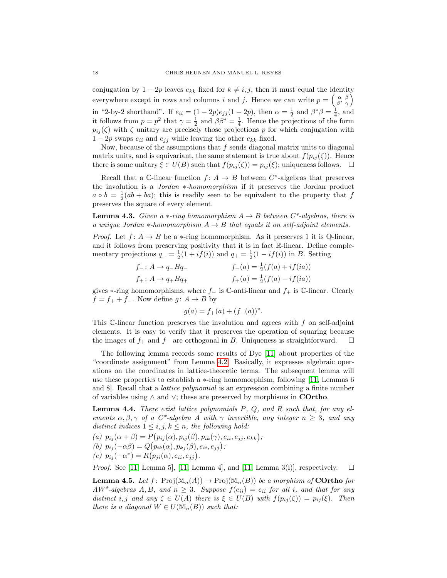conjugation by 1 – 2p leaves  $e_{kk}$  fixed for  $k \neq i, j$ , then it must equal the identity everywhere except in rows and columns i and j. Hence we can write  $p = \begin{pmatrix} \alpha & \beta \\ \beta^* & \gamma \end{pmatrix}$  $\begin{pmatrix} \alpha & \beta \\ \beta^* & \gamma \end{pmatrix}$ in "2-by-2 shorthand". If  $e_{ii} = (1 - 2p)e_{jj}(1 - 2p)$ , then  $\alpha = \frac{1}{2}$  and  $\beta^*\beta = \frac{1}{4}$ , and it follows from  $p = p^2$  that  $\gamma = \frac{1}{2}$  and  $\beta \beta^* = \frac{1}{4}$ . Hence the projections of the form  $p_{ij}(\zeta)$  with  $\zeta$  unitary are precisely those projections p for which conjugation with  $1 - 2p$  swaps  $e_{ii}$  and  $e_{jj}$  while leaving the other  $e_{kk}$  fixed.

Now, because of the assumptions that  $f$  sends diagonal matrix units to diagonal matrix units, and is equivariant, the same statement is true about  $f(p_{ij}(\zeta))$ . Hence there is some unitary  $\xi \in U(B)$  such that  $f(p_{ij}(\zeta)) = p_{ij}(\xi)$ ; uniqueness follows.  $\Box$ 

Recall that a C-linear function  $f: A \to B$  between  $C^*$ -algebras that preserves the involution is a Jordan ∗-homomorphism if it preserves the Jordan product  $a \circ b = \frac{1}{2}(ab + ba)$ ; this is readily seen to be equivalent to the property that f preserves the square of every element.

<span id="page-17-2"></span>**Lemma 4.3.** Given a  $*$ -ring homomorphism  $A \rightarrow B$  between  $C^*$ -algebras, there is a unique Jordan  $\ast$ -homomorphism  $A \to B$  that equals it on self-adjoint elements.

*Proof.* Let  $f: A \rightarrow B$  be a  $\ast$ -ring homomorphism. As it preserves 1 it is Q-linear, and it follows from preserving positivity that it is in fact R-linear. Define complementary projections  $q_-=\frac{1}{2}(1+if(i))$  and  $q_+=\frac{1}{2}(1-if(i))$  in B. Setting

| $f_-: A \rightarrow q_- B q_-$    | $f_{-}(a) = \frac{1}{2}(f(a) + if(ia))$ |
|-----------------------------------|-----------------------------------------|
| $f_+$ : $A \rightarrow q_+ B q_+$ | $f_+(a) = \frac{1}{2}(f(a) - if(ia))$   |

gives  $\ast$ -ring homomorphisms, where  $f_-\,$  is  $\mathbb C$ -anti-linear and  $f_+\,$  is  $\mathbb C$ -linear. Clearly  $f = f_+ + f_-.$  Now define  $g: A \to B$  by

$$
g(a) = f_{+}(a) + (f_{-}(a))^{*}.
$$

This C-linear function preserves the involution and agrees with f on self-adjoint elements. It is easy to verify that it preserves the operation of squaring because the images of  $f_+$  and  $f_-\$ are orthogonal in B. Uniqueness is straightforward.  $\square$ 

The following lemma records some results of Dye [\[11\]](#page-23-8) about properties of the "coordinate assignment" from Lemma [4.2.](#page-16-1) Basically, it expresses algebraic operations on the coordinates in lattice-theoretic terms. The subsequent lemma will use these properties to establish a ∗-ring homomorphism, following [\[11,](#page-23-8) Lemmas 6 and 8]. Recall that a lattice polynomial is an expression combining a finite number of variables using  $\land$  and  $\lor$ ; these are preserved by morphisms in **COrtho**.

<span id="page-17-0"></span>**Lemma 4.4.** There exist lattice polynomials  $P$ ,  $Q$ , and  $R$  such that, for any elements  $\alpha, \beta, \gamma$  of a C\*-algebra A with  $\gamma$  invertible, any integer  $n \geq 3$ , and any distinct indices  $1 \leq i, j, k \leq n$ , the following hold:

(a) 
$$
p_{ij}(\alpha + \beta) = P(p_{ij}(\alpha), p_{ij}(\beta), p_{ik}(\gamma), e_{ii}, e_{jj}, e_{kk});
$$
  
(b)  $p_{ij}(-\alpha\beta) = Q(p_{ik}(\alpha), p_{kj}(\beta), e_{ii}, e_{jj});$ 

$$
(c) p_{ij}(-\alpha^*) = R(p_{ji}(\alpha), e_{ii}, e_{jj}).
$$

*Proof.* See [\[11,](#page-23-8) Lemma 5], [11, Lemma 4], and [11, Lemma 3(i)], respectively.  $\square$ 

<span id="page-17-1"></span>**Lemma 4.5.** Let  $f: \text{Proj}(\mathbb{M}_n(A)) \to \text{Proj}(\mathbb{M}_n(B))$  be a morphism of **COrtho** for  $AW^*$ -algebras A, B, and  $n \geq 3$ . Suppose  $f(e_{ii}) = e_{ii}$  for all i, and that for any distinct i, j and any  $\zeta \in U(A)$  there is  $\xi \in U(B)$  with  $f(p_{ij}(\zeta)) = p_{ij}(\xi)$ . Then there is a diagonal  $W \in U(\mathbb{M}_{n}(B))$  such that: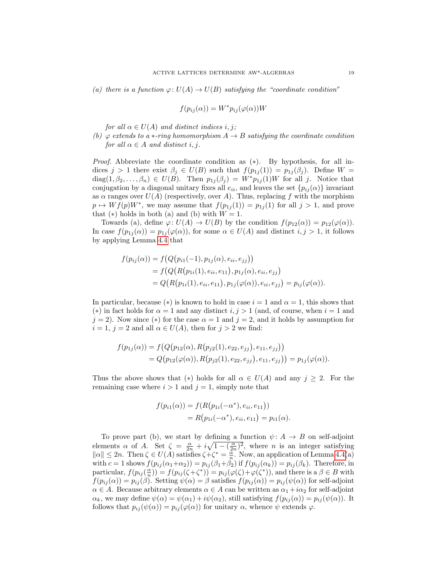(a) there is a function  $\varphi: U(A) \to U(B)$  satisfying the "coordinate condition"

$$
f(p_{ij}(\alpha)) = W^* p_{ij}(\varphi(\alpha))W
$$

for all  $\alpha \in U(A)$  and distinct indices i, j;

(b)  $\varphi$  extends to a  $\ast$ -ring homomorphism  $A \to B$  satisfying the coordinate condition for all  $\alpha \in A$  and distinct i, j.

Proof. Abbreviate the coordinate condition as (∗). By hypothesis, for all indices  $j > 1$  there exist  $\beta_j \in U(B)$  such that  $f(p_{1j}(1)) = p_{1j}(\beta_j)$ . Define  $W =$  $diag(1, \beta_2, \ldots, \beta_n) \in U(B)$ . Then  $p_{1i}(\beta_i) = W^* p_{1i}(1)W$  for all j. Notice that conjugation by a diagonal unitary fixes all  $e_{ii}$ , and leaves the set  $\{p_{ij}(\alpha)\}\$  invariant as  $\alpha$  ranges over  $U(A)$  (respectively, over A). Thus, replacing f with the morphism  $p \mapsto Wf(p)W^*$ , we may assume that  $f(p_{1j}(1)) = p_{1j}(1)$  for all  $j > 1$ , and prove that  $(*)$  holds in both (a) and (b) with  $W = 1$ .

Towards (a), define  $\varphi: U(A) \to U(B)$  by the condition  $f(p_{12}(\alpha)) = p_{12}(\varphi(\alpha)).$ In case  $f(p_{1j}(\alpha)) = p_{1j}(\varphi(\alpha))$ , for some  $\alpha \in U(A)$  and distinct  $i, j > 1$ , it follows by applying Lemma [4.4](#page-17-0) that

$$
f(p_{ij}(\alpha)) = f(Q(p_{i1}(-1), p_{1j}(\alpha), e_{ii}, e_{jj}))
$$
  
=  $f(Q(R(p_{1i}(1), e_{ii}, e_{11}), p_{1j}(\alpha), e_{ii}, e_{jj})$   
=  $Q(R(p_{1i}(1), e_{ii}, e_{11}), p_{1j}(\varphi(\alpha)), e_{ii}, e_{jj}) = p_{ij}(\varphi(\alpha)).$ 

In particular, because ( $\ast$ ) is known to hold in case  $i = 1$  and  $\alpha = 1$ , this shows that (\*) in fact holds for  $\alpha = 1$  and any distinct  $i, j > 1$  (and, of course, when  $i = 1$  and  $j = 2$ ). Now since (\*) for the case  $\alpha = 1$  and  $j = 2$ , and it holds by assumption for  $i = 1, j = 2$  and all  $\alpha \in U(A)$ , then for  $j > 2$  we find:

$$
f(p_{1j}(\alpha)) = f(Q(p_{12}(\alpha), R(p_{j2}(1), e_{22}, e_{jj}), e_{11}, e_{jj}))
$$
  
=  $Q(p_{12}(\varphi(\alpha)), R(p_{j2}(1), e_{22}, e_{jj}), e_{11}, e_{jj})) = p_{1j}(\varphi(\alpha)).$ 

Thus the above shows that (\*) holds for all  $\alpha \in U(A)$  and any  $j \geq 2$ . For the remaining case where  $i > 1$  and  $j = 1$ , simply note that

$$
f(p_{i1}(\alpha)) = f(R(p_{1i}(-\alpha^*), e_{ii}, e_{11}))
$$
  
=  $R(p_{1i}(-\alpha^*), e_{ii}, e_{11}) = p_{i1}(\alpha).$ 

To prove part (b), we start by defining a function  $\psi: A \rightarrow B$  on self-adjoint elements  $\alpha$  of A. Set  $\zeta = \frac{\alpha}{2n} + i\sqrt{1 - (\frac{\alpha}{2n})^2}$ , where n is an integer satisfying  $\|\alpha\| \leq 2n$ . Then  $\zeta \in U(A)$  satisfies  $\zeta + \zeta^* = \frac{\alpha}{n}$ . Now, an application of Lemma [4.4\(](#page-17-0)a) with  $c = 1$  shows  $f(p_{ij}(\alpha_1+\alpha_2)) = p_{ij}(\beta_1+\beta_2)$  if  $f(p_{ij}(\alpha_k)) = p_{ij}(\beta_k)$ . Therefore, in particular,  $f(p_{ij}(\frac{\alpha}{n})) = f(p_{ij}(\zeta + \zeta^*)) = p_{ij}(\varphi(\zeta) + \varphi(\zeta^*))$ , and there is a  $\beta \in B$  with  $f(p_{ij}(\alpha)) = p_{ij}(\beta)$ . Setting  $\psi(\alpha) = \beta$  satisfies  $f(p_{ij}(\alpha)) = p_{ij}(\psi(\alpha))$  for self-adjoint  $\alpha \in A$ . Because arbitrary elements  $\alpha \in A$  can be written as  $\alpha_1 + i\alpha_2$  for self-adjoint  $\alpha_k$ , we may define  $\psi(\alpha) = \psi(\alpha_1) + i\psi(\alpha_2)$ , still satisfying  $f(p_{ij}(\alpha)) = p_{ij}(\psi(\alpha))$ . It follows that  $p_{ij}(\psi(\alpha)) = p_{ij}(\varphi(\alpha))$  for unitary  $\alpha$ , whence  $\psi$  extends  $\varphi$ .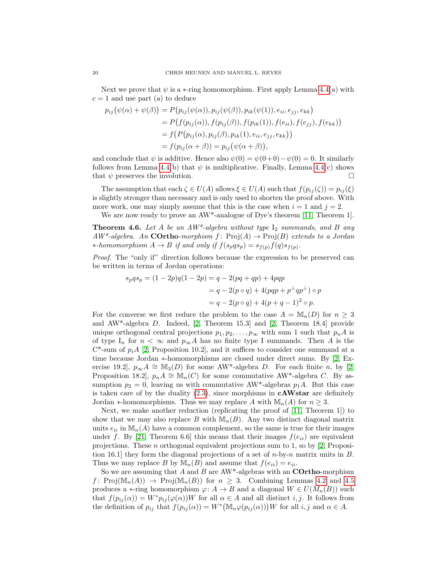Next we prove that  $\psi$  is a  $\ast$ -ring homomorphism. First apply Lemma [4.4\(](#page-17-0)a) with  $c = 1$  and use part (a) to deduce

$$
p_{ij}(\psi(\alpha) + \psi(\beta)) = P(p_{ij}(\psi(\alpha)), p_{ij}(\psi(\beta)), p_{ik}(\psi(1)), e_{ii}, e_{jj}, e_{kk})
$$
  
=  $P(f(p_{ij}(\alpha)), f(p_{ij}(\beta)), f(p_{ik}(1)), f(e_{ii}), f(e_{jj}), f(e_{kk}))$   
=  $f(P(p_{ij}(\alpha), p_{ij}(\beta), p_{ik}(1), e_{ii}, e_{jj}, e_{kk}))$   
=  $f(p_{ij}(\alpha + \beta)) = p_{ij}(\psi(\alpha + \beta)),$ 

and conclude that  $\psi$  is additive. Hence also  $\psi(0) = \psi(0+0) - \psi(0) = 0$ . It similarly follows from Lemma [4.4\(](#page-17-0)b) that  $\psi$  is multiplicative. Finally, Lemma 4.4(c) shows that  $\psi$  preserves the involution.

The assumption that each  $\zeta \in U(A)$  allows  $\xi \in U(A)$  such that  $f(p_{ij}(\zeta)) = p_{ij}(\xi)$ is slightly stronger than necessary and is only used to shorten the proof above. With more work, one may simply assume that this is the case when  $i = 1$  and  $j = 2$ .

We are now ready to prove an AW<sup>\*</sup>-analogue of Dye's theorem [\[11,](#page-23-8) Theorem 1].

<span id="page-19-0"></span>**Theorem 4.6.** Let A be an  $AW^*$ -algebra without type  $I_2$  summands, and B any  $AW^*$ -algebra. An **COrtho**-morphism  $f: Proj(A) \rightarrow Proj(B)$  extends to a Jordan ∗-homomorphism  $A \to B$  if and only if  $f(s_pqs_p) = s_{f(p)}f(q)s_{f(p)}$ .

Proof. The "only if" direction follows because the expression to be preserved can be written in terms of Jordan operations:

$$
s_pqs_p = (1 - 2p)q(1 - 2p) = q - 2(pq + qp) + 4pqp
$$
  
=  $q - 2(p \circ q) + 4(pqp + p^{\perp}qp^{\perp}) \circ p$   
=  $q - 2(p \circ q) + 4(p + q - 1)^2 \circ p$ .

For the converse we first reduce the problem to the case  $A = \mathbb{M}_n(D)$  for  $n \geq 3$ and AW\*-algebra D. Indeed, [\[2,](#page-23-10) Theorem 15.3] and [\[2,](#page-23-10) Theorem 18.4] provide unique orthogonal central projections  $p_1, p_2, \ldots, p_\infty$  with sum 1 such that  $p_n A$  is of type I<sub>n</sub> for  $n < \infty$  and  $p_{\infty}A$  has no finite type I summands. Then A is the  $C^*$ -sum of  $p_iA$  [\[2,](#page-23-10) Proposition 10.2], and it suffices to consider one summand at a time because Jordan ∗-homomorphisms are closed under direct sums. By [\[2,](#page-23-10) Exercise 19.2],  $p_{\infty}A \cong M_3(D)$  for some AW\*-algebra D. For each finite n, by [\[2,](#page-23-10) Proposition 18.2],  $p_n A \cong \mathbb{M}_n(C)$  for some commutative AW\*-algebra C. By assumption  $p_2 = 0$ , leaving us with commutative AW<sup>\*</sup>-algebras  $p_1A$ . But this case is taken care of by the duality  $(2.3)$ , since morphisms in **cAWstar** are definitely Jordan ∗-homomorphisms. Thus we may replace A with  $\mathbb{M}_n(A)$  for  $n \geq 3$ .

Next, we make another reduction (replicating the proof of [\[11,](#page-23-8) Theorem 1]) to show that we may also replace B with  $\mathbb{M}_{n}(B)$ . Any two distinct diagonal matrix units  $e_{ii}$  in  $\mathbb{M}_n(A)$  have a common complement, so the same is true for their images under f. By [\[21,](#page-23-9) Theorem 6.6] this means that their images  $f(e_{ii})$  are equivalent projections. These n orthogonal equivalent projections sum to 1, so by [\[2,](#page-23-10) Proposition 16.1] they form the diagonal projections of a set of  $n$ -by- $n$  matrix units in  $B$ . Thus we may replace B by  $\mathbb{M}_n(B)$  and assume that  $f(e_{ii}) = e_{ii}$ .

So we are assuming that A and B are  $AW^*$ -algebras with an **COrtho-**morphism f: Proj $(\mathbb{M}_n(A)) \to \text{Proj}(\mathbb{M}_n(B))$  for  $n \geq 3$ . Combining Lemmas [4.2](#page-16-1) and [4.5](#page-17-1) produces a  $\ast$ -ring homomorphism  $\varphi: A \to B$  and a diagonal  $W \in U(M_n(B))$  such that  $f(p_{ij}(\alpha)) = W^*p_{ij}(\varphi(\alpha))W$  for all  $\alpha \in A$  and all distinct i, j. It follows from the definition of  $p_{ij}$  that  $f(p_{ij}(\alpha)) = W^* (\mathbb{M}_n \varphi(p_{ij}(\alpha))) W$  for all  $i, j$  and  $\alpha \in A$ .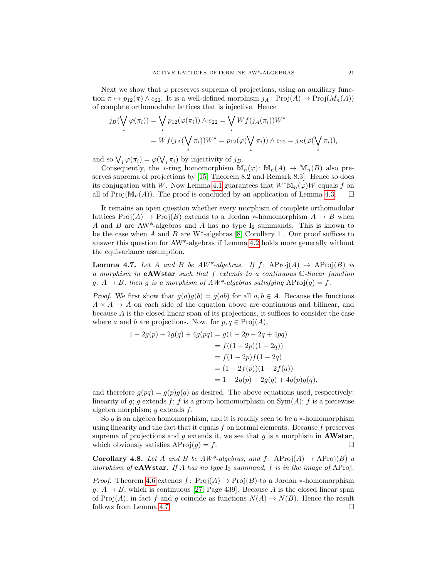Next we show that  $\varphi$  preserves suprema of projections, using an auxiliary function  $\pi \mapsto p_{12}(\pi) \wedge e_{22}$ . It is a well-defined morphism  $j_A$ : Proj $(A) \rightarrow \text{Proj}(M_n(A))$ of complete orthomodular lattices that is injective. Hence

$$
j_B(\bigvee_i \varphi(\pi_i)) = \bigvee_i p_{12}(\varphi(\pi_i)) \wedge e_{22} = \bigvee_i Wf(j_A(\pi_i))W^*
$$
  
=  $Wf(j_A(\bigvee_i \pi_i))W^* = p_{12}(\varphi(\bigvee_i \pi_i)) \wedge e_{22} = j_B(\varphi(\bigvee_i \pi_i)),$ 

and so  $\bigvee_i \varphi(\pi_i) = \varphi(\bigvee_i \pi_i)$  by injectivity of  $j_B$ .

Consequently, the  $\ast$ -ring homomorphism  $\mathbb{M}_n(\varphi)$ :  $\mathbb{M}_n(A) \to \mathbb{M}_n(B)$  also preserves suprema of projections by [\[15,](#page-23-20) Theorem 8.2 and Remark 8.3]. Hence so does its conjugation with W. Now Lemma [4.1](#page-16-2) guarantees that  $W^*M_n(\varphi)W$  equals f on all of  $\text{Proj}(\mathbb{M}_n(A))$ . The proof is concluded by an application of Lemma [4.3.](#page-17-2)  $\square$ 

It remains an open question whether every morphism of complete orthomodular lattices  $\text{Proj}(A) \to \text{Proj}(B)$  extends to a Jordan \*-homomorphism  $A \to B$  when A and B are AW<sup>\*</sup>-algebras and A has no type  $I_2$  summands. This is known to be the case when A and B are  $W^*$ -algebras [\[8,](#page-23-7) Corollary 1]. Our proof suffices to answer this question for AW\*-algebras if Lemma [4.2](#page-16-1) holds more generally without the equivariance assumption.

<span id="page-20-0"></span>**Lemma 4.7.** Let A and B be  $AW^*$ -algebras. If  $f:$  AProj $(A) \rightarrow$  AProj $(B)$  is a morphism in  $eAWstar$  such that f extends to a continuous  $\mathbb{C}\text{-}linear function$  $g: A \to B$ , then g is a morphism of  $AW^*$ -algebras satisfying  $AProi(g) = f$ .

*Proof.* We first show that  $g(a)g(b) = g(ab)$  for all  $a, b \in A$ . Because the functions  $A \times A \rightarrow A$  on each side of the equation above are continuous and bilinear, and because A is the closed linear span of its projections, it suffices to consider the case where a and b are projections. Now, for  $p, q \in \text{Proj}(A)$ ,

$$
1 - 2g(p) - 2g(q) + 4g(pq) = g(1 - 2p - 2q + 4pq)
$$
  
=  $f((1 - 2p)(1 - 2q))$   
=  $f(1 - 2p)f(1 - 2q)$   
=  $(1 - 2f(p))(1 - 2f(q))$   
=  $1 - 2g(p) - 2g(q) + 4g(p)g(q)$ ,

and therefore  $g(pq) = g(p)g(q)$  as desired. The above equations used, respectively: linearity of g; g extends f; f is a group homomorphism on  $Sym(A)$ ; f is a piecewise algebra morphism; g extends f.

So  $g$  is an algebra homomorphism, and it is readily seen to be a  $*$ -homomorphism using linearity and the fact that it equals f on normal elements. Because f preserves suprema of projections and g extends it, we see that g is a morphism in **AWstar**, which obviously satisfies  $AProj(g) = f$ .

<span id="page-20-1"></span>**Corollary 4.8.** Let A and B be  $AW^*$ -algebras, and f:  $AProi(A) \rightarrow AProi(B)$  a morphism of **eAWstar**. If A has no type  $I_2$  summand, f is in the image of AProj.

*Proof.* Theorem [4.6](#page-19-0) extends f:  $Proj(A) \rightarrow Proj(B)$  to a Jordan \*-homomorphism  $g: A \to B$ , which is continuous [\[27,](#page-24-7) Page 439]. Because A is the closed linear span of Proj(A), in fact f and g coincide as functions  $N(A) \to N(B)$ . Hence the result follows from Lemma [4.7.](#page-20-0)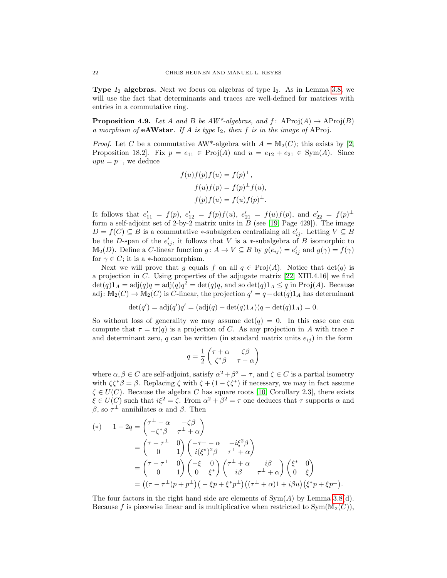**Type**  $I_2$  algebras. Next we focus on algebras of type  $I_2$ . As in Lemma [3.8,](#page-11-0) we will use the fact that determinants and traces are well-defined for matrices with entries in a commutative ring.

<span id="page-21-0"></span>**Proposition 4.9.** Let A and B be  $AW^*$ -algebras, and  $f:$  AProj $(A) \rightarrow$  AProj $(B)$ a morphism of **eAWstar**. If A is type  $I_2$ , then f is in the image of AProj.

*Proof.* Let C be a commutative AW<sup>\*</sup>-algebra with  $A = M_2(C)$ ; this exists by [\[2,](#page-23-10) Proposition 18.2]. Fix  $p = e_{11} \in \text{Proj}(A)$  and  $u = e_{12} + e_{21} \in \text{Sym}(A)$ . Since  $upu = p^{\perp}$ , we deduce

$$
f(u)f(p)f(u) = f(p)^{\perp},
$$
  
\n
$$
f(u)f(p) = f(p)^{\perp}f(u),
$$
  
\n
$$
f(p)f(u) = f(u)f(p)^{\perp}.
$$

It follows that  $e'_{11} = f(p)$ ,  $e'_{12} = f(p)f(u)$ ,  $e'_{21} = f(u)f(p)$ , and  $e'_{22} = f(p)^{\perp}$ form a self-adjoint set of 2-by-2 matrix units in  $B$  (see [\[19,](#page-23-13) Page 429]). The image  $D = f(C) \subseteq B$  is a commutative \*-subalgebra centralizing all  $e'_{ij}$ . Letting  $V \subseteq B$ be the D-span of the  $e'_{ij}$ , it follows that V is a \*-subalgebra of B isomorphic to  $\mathbb{M}_2(D)$ . Define a C-linear function  $g: A \to V \subseteq B$  by  $g(e_{ij}) = e'_{ij}$  and  $g(\gamma) = f(\gamma)$ for  $\gamma \in C$ ; it is a \*-homomorphism.

Next we will prove that g equals f on all  $q \in \text{Proj}(A)$ . Notice that  $\det(q)$  is a projection in C. Using properties of the adjugate matrix [\[22,](#page-23-21) XIII.4.16] we find  $\det(q)1_A = \text{adj}(q)q = \text{adj}(q)q^2 = \det(q)q$ , and so  $\det(q)1_A \leq q$  in  $\text{Proj}(A)$ . Because adj:  $\mathbb{M}_2(C) \to \mathbb{M}_2(C)$  is C-linear, the projection  $q' = q-\det(q)1_A$  has determinant

$$
\det(q') = \text{adj}(q')q' = (\text{adj}(q) - \det(q)1_A)(q - \det(q)1_A) = 0.
$$

So without loss of generality we may assume  $\det(q) = 0$ . In this case one can compute that  $\tau = \text{tr}(q)$  is a projection of C. As any projection in A with trace  $\tau$ and determinant zero,  $q$  can be written (in standard matrix units  $e_{ij}$ ) in the form

$$
q = \frac{1}{2} \begin{pmatrix} \tau + \alpha & \zeta \beta \\ \zeta^* \beta & \tau - \alpha \end{pmatrix}
$$

where  $\alpha, \beta \in C$  are self-adjoint, satisfy  $\alpha^2 + \beta^2 = \tau$ , and  $\zeta \in C$  is a partial isometry with  $\zeta \zeta^* \beta = \beta$ . Replacing  $\zeta$  with  $\zeta + (1 - \zeta \zeta^*)$  if necessary, we may in fact assume  $\zeta \in U(C)$ . Because the algebra C has square roots [\[10,](#page-23-17) Corollary 2.3], there exists  $\xi \in U(C)$  such that  $i\xi^2 = \zeta$ . From  $\alpha^2 + \beta^2 = \tau$  one deduces that  $\tau$  supports  $\alpha$  and β, so  $\tau^{\perp}$  annihilates  $\alpha$  and  $\beta$ . Then

$$
\begin{aligned}\n (*) \quad 1 - 2q &= \begin{pmatrix} \tau^{\perp} - \alpha & -\zeta \beta \\ -\zeta^* \beta & \tau^{\perp} + \alpha \end{pmatrix} \\
&= \begin{pmatrix} \tau - \tau^{\perp} & 0 \\ 0 & 1 \end{pmatrix} \begin{pmatrix} -\tau^{\perp} - \alpha & -i\xi^2 \beta \\ i(\xi^*)^2 \beta & \tau^{\perp} + \alpha \end{pmatrix} \\
&= \begin{pmatrix} \tau - \tau^{\perp} & 0 \\ 0 & 1 \end{pmatrix} \begin{pmatrix} -\xi & 0 \\ 0 & \xi^* \end{pmatrix} \begin{pmatrix} \tau^{\perp} + \alpha & i\beta \\ i\beta & \tau^{\perp} + \alpha \end{pmatrix} \begin{pmatrix} \xi^* & 0 \\ 0 & \xi \end{pmatrix} \\
&= \left( (\tau - \tau^{\perp})p + p^{\perp} \right) \left( -\xi p + \xi^* p^{\perp} \right) \left( (\tau^{\perp} + \alpha)1 + i\beta u \right) \left( \xi^* p + \xi p^{\perp} \right).\n \end{aligned}
$$

The four factors in the right hand side are elements of  $Sym(A)$  by Lemma [3.8\(](#page-11-0)d). Because f is piecewise linear and is multiplicative when restricted to  $Sym(M_2(C)),$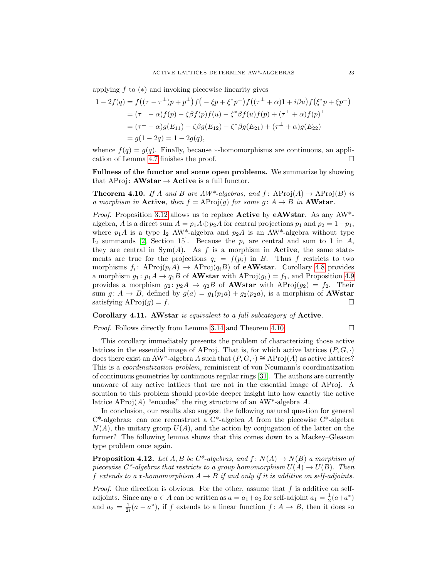applying f to  $(*)$  and invoking piecewise linearity gives

$$
1 - 2f(q) = f((\tau - \tau^{\perp})p + p^{\perp})f(-\xi p + \xi^* p^{\perp})f((\tau^{\perp} + \alpha)1 + i\beta u)f(\xi^* p + \xi p^{\perp})
$$
  
=  $(\tau^{\perp} - \alpha)f(p) - \zeta\beta f(p)f(u) - \zeta^* \beta f(u)f(p) + (\tau^{\perp} + \alpha)f(p)^{\perp}$   
=  $(\tau^{\perp} - \alpha)g(E_{11}) - \zeta\beta g(E_{12}) - \zeta^* \beta g(E_{21}) + (\tau^{\perp} + \alpha)g(E_{22})$   
=  $g(1 - 2q) = 1 - 2g(q),$ 

whence  $f(q) = g(q)$ . Finally, because \*-homomorphisms are continuous, an application of Lemma [4.7](#page-20-0) finishes the proof.

Fullness of the functor and some open problems. We summarize by showing that AProj:  $AWstar \rightarrow Active$  is a full functor.

<span id="page-22-0"></span>**Theorem 4.10.** If A and B are  $AW^*$ -algebras, and f:  $AProi(A) \rightarrow AProi(B)$  is a morphism in Active, then  $f = AProj(q)$  for some  $q: A \rightarrow B$  in AWstar.

*Proof.* Proposition [3.12](#page-14-0) allows us to replace **Active** by **eAWstar**. As any AW<sup>\*</sup>algebra, A is a direct sum  $A = p_1 A \oplus p_2 A$  for central projections  $p_1$  and  $p_2 = 1 - p_1$ , where  $p_1A$  is a type I<sub>2</sub> AW<sup>\*</sup>-algebra and  $p_2A$  is an AW<sup>\*</sup>-algebra without type  $I_2$  summands [\[2,](#page-23-10) Section 15]. Because the  $p_i$  are central and sum to 1 in A, they are central in  $Sym(A)$ . As f is a morphism in Active, the same statements are true for the projections  $q_i = f(p_i)$  in B. Thus f restricts to two morphisms  $f_i$ : AProj $(p_i A) \to \text{AProj}(q_i B)$  of **eAWstar**. Corollary [4.8](#page-20-1) provides a morphism  $g_1: p_1A \rightarrow q_1B$  of **AWstar** with  $AProj(g_1) = f_1$ , and Proposition [4.9](#page-21-0) provides a morphism  $g_2: p_2A \rightarrow q_2B$  of **AWstar** with  $AProj(g_2) = f_2$ . Their sum  $g: A \rightarrow B$ , defined by  $g(a) = g_1(p_1a) + g_2(p_2a)$ , is a morphism of **AWstar** satisfying  $AProj(g) = f$ .

#### Corollary 4.11. AWstar is equivalent to a full subcategory of Active.

Proof. Follows directly from Lemma [3.14](#page-14-3) and Theorem [4.10.](#page-22-0)

$$
\qquad \qquad \Box
$$

This corollary immediately presents the problem of characterizing those active lattices in the essential image of AProj. That is, for which active lattices  $(P, G, \cdot)$ does there exist an AW\*-algebra A such that  $(P, G, \cdot) \cong AProj(A)$  as active lattices? This is a coordinatization problem, reminiscent of von Neumann's coordinatization of continuous geometries by continuous regular rings [\[31\]](#page-24-8). The authors are currently unaware of any active lattices that are not in the essential image of AProj. A solution to this problem should provide deeper insight into how exactly the active lattice AProj $(A)$  "encodes" the ring structure of an AW\*-algebra A.

In conclusion, our results also suggest the following natural question for general  $C^*$ -algebras: can one reconstruct a  $C^*$ -algebra A from the piecewise  $C^*$ -algebra  $N(A)$ , the unitary group  $U(A)$ , and the action by conjugation of the latter on the former? The following lemma shows that this comes down to a Mackey–Gleason type problem once again.

**Proposition 4.12.** Let A, B be C\*-algebras, and  $f: N(A) \rightarrow N(B)$  a morphism of piecewise  $C^*$ -algebras that restricts to a group homomorphism  $U(A) \to U(B)$ . Then f extends to a  $*$ -homomorphism  $A \rightarrow B$  if and only if it is additive on self-adjoints.

*Proof.* One direction is obvious. For the other, assume that  $f$  is additive on selfadjoints. Since any  $a \in A$  can be written as  $a = a_1 + a_2$  for self-adjoint  $a_1 = \frac{1}{2}(a + a^*)$ and  $a_2 = \frac{1}{2i}(a - a^*)$ , if f extends to a linear function  $f: A \to B$ , then it does so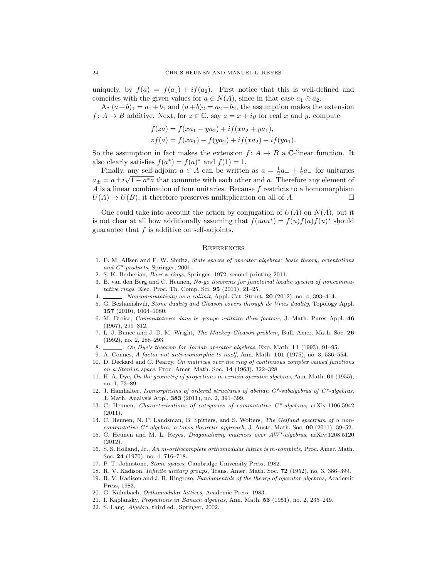uniquely, by  $f(a) = f(a_1) + if(a_2)$ . First notice that this is well-defined and coincides with the given values for  $a \in N(A)$ , since in that case  $a_1 \odot a_2$ .

As  $(a+b)_1 = a_1 + b_1$  and  $(a+b)_2 = a_2 + b_2$ , the assumption makes the extension  $f: A \to B$  additive. Next, for  $z \in \mathbb{C}$ , say  $z = x + iy$  for real x and y, compute

$$
f(za) = f(xa_1 - ya_2) + if(xa_2 + ya_1),
$$
  
\n
$$
zf(a) = f(xa_1) - f(ya_2) + if(xa_2) + if(ya_1).
$$

So the assumption in fact makes the extension  $f: A \rightarrow B$  a C-linear function. It also clearly satisfies  $f(a^*) = f(a)^*$  and  $f(1) = 1$ .

Finally, any self-adjoint  $a \in A$  can be written as  $a = \frac{1}{2}a_+ + \frac{1}{2}a_-$  for unitaries  $a_{\pm} = a \pm i \sqrt{1 - a^* a}$  that commute with each other and a. Therefore any element of  $A$  is a linear combination of four unitaries. Because  $f$  restricts to a homomorphism  $U(A) \to U(B)$ , it therefore preserves multiplication on all of A.

One could take into account the action by conjugation of  $U(A)$  on  $N(A)$ , but it is not clear at all how additionally assuming that  $f(uau^*) = f(u)f(a)f(u)^*$  should guarantee that  $f$  is additive on self-adjoints.

#### **REFERENCES**

- <span id="page-23-3"></span>1. E. M. Alfsen and F. W. Shultz, State spaces of operator algebras: basic theory, orientations and C\*-products, Springer, 2001.
- <span id="page-23-10"></span>2. S. K. Berberian, Baer ∗-rings, Springer, 1972, second printing 2011.
- <span id="page-23-5"></span>3. B. van den Berg and C. Heunen, No-go theorems for functorial localic spectra of noncommutative rings, Elec. Proc. Th. Comp. Sci. 95 (2011), 21–25.
- <span id="page-23-1"></span> $\_\_\_\_\$ , Noncommutativity as a colimit, Appl. Cat. Struct. 20 (2012), no. 4, 393-414.
- <span id="page-23-12"></span>5. G. Bezhanishvili, Stone duality and Gleason covers through de Vries duality, Topology Appl. 157 (2010), 1064–1080.
- <span id="page-23-18"></span>6. M. Broise, Commutateurs dans le groupe unitaire d'un facteur, J. Math. Pures Appl. 46 (1967), 299–312.
- <span id="page-23-4"></span>7. L. J. Bunce and J. D. M. Wright, The Mackey–Gleason problem, Bull. Amer. Math. Soc. 26 (1992), no. 2, 288–293.
- <span id="page-23-7"></span>8. , On Dye's theorem for Jordan operator algebras, Exp. Math. 11 (1993), 91-95.
- <span id="page-23-0"></span>9. A. Connes, A factor not anti-isomorphic to itself, Ann. Math. 101 (1975), no. 3, 536–554.
- <span id="page-23-17"></span>10. D. Deckard and C. Pearcy, On matrices over the ring of continuous complex valued functions on a Stonian space, Proc. Amer. Math. Soc. 14 (1963), 322–328.
- <span id="page-23-8"></span>11. H. A. Dye, On the geometry of projections in certain operator algebras, Ann. Math. 61 (1955), no. 1, 73–89.
- <span id="page-23-2"></span>12. J. Hamhalter, Isomorphisms of ordered structures of abelian  $C^*$ -subalgebras of  $C^*$ -algebras, J. Math. Analysis Appl. 383 (2011), no. 2, 391–399.
- <span id="page-23-16"></span>13. C. Heunen, Characterizations of categories of commutative C\*-algebras, arXiv:1106.5942 (2011).
- <span id="page-23-6"></span>14. C. Heunen, N. P. Landsman, B. Spitters, and S. Wolters, The Gelfand spectrum of a noncommutative  $C^*$ -algebra: a topos-theoretic approach, J. Austr. Math. Soc. **90** (2011), 39–52.
- <span id="page-23-20"></span>15. C. Heunen and M. L. Reyes, Diagonalizing matrices over AW\*-algebras, arXiv:1208.5120 (2012).
- <span id="page-23-14"></span>16. S. S. Holland, Jr., An m-orthocomplete orthomodular lattice is m-complete, Proc. Amer. Math. Soc. 24 (1970), no. 4, 716–718.
- <span id="page-23-11"></span>17. P. T. Johnstone, Stone spaces, Cambridge University Press, 1982.
- <span id="page-23-19"></span>18. R. V. Kadison, Infinite unitary groups, Trans. Amer. Math. Soc. 72 (1952), no. 3, 386–399.
- <span id="page-23-13"></span>19. R. V. Kadison and J. R. Ringrose, Fundamentals of the theory of operator algebras, Academic Press, 1983.
- <span id="page-23-15"></span>20. G. Kalmbach, Orthomodular lattices, Academic Press, 1983.
- <span id="page-23-9"></span>21. I. Kaplansky, Projections in Banach algebras, Ann. Math. 53 (1951), no. 2, 235–249.
- <span id="page-23-21"></span>22. S. Lang, Algebra, third ed., Springer, 2002.